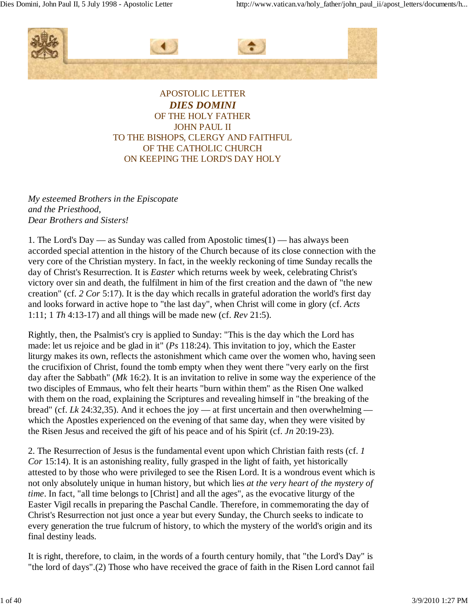

APOSTOLIC LETTER *DIES DOMINI* OF THE HOLY FATHER JOHN PAUL II TO THE BISHOPS, CLERGY AND FAITHFUL OF THE CATHOLIC CHURCH ON KEEPING THE LORD'S DAY HOLY

*My esteemed Brothers in the Episcopate and the Priesthood, Dear Brothers and Sisters!*

1. The Lord's Day — as Sunday was called from Apostolic times(1) — has always been accorded special attention in the history of the Church because of its close connection with the very core of the Christian mystery. In fact, in the weekly reckoning of time Sunday recalls the day of Christ's Resurrection. It is *Easter* which returns week by week, celebrating Christ's victory over sin and death, the fulfilment in him of the first creation and the dawn of "the new creation" (cf. *2 Cor* 5:17). It is the day which recalls in grateful adoration the world's first day and looks forward in active hope to "the last day", when Christ will come in glory (cf. *Acts* 1:11; 1 *Th* 4:13-17) and all things will be made new (cf. *Rev* 21:5).

Rightly, then, the Psalmist's cry is applied to Sunday: "This is the day which the Lord has made: let us rejoice and be glad in it" (*Ps* 118:24). This invitation to joy, which the Easter liturgy makes its own, reflects the astonishment which came over the women who, having seen the crucifixion of Christ, found the tomb empty when they went there "very early on the first day after the Sabbath" (*Mk* 16:2). It is an invitation to relive in some way the experience of the two disciples of Emmaus, who felt their hearts "burn within them" as the Risen One walked with them on the road, explaining the Scriptures and revealing himself in "the breaking of the bread" (cf. *Lk* 24:32,35). And it echoes the joy — at first uncertain and then overwhelming which the Apostles experienced on the evening of that same day, when they were visited by the Risen Jesus and received the gift of his peace and of his Spirit (cf. *Jn* 20:19-23).

2. The Resurrection of Jesus is the fundamental event upon which Christian faith rests (cf. *1 Cor* 15:14). It is an astonishing reality, fully grasped in the light of faith, yet historically attested to by those who were privileged to see the Risen Lord. It is a wondrous event which is not only absolutely unique in human history, but which lies *at the very heart of the mystery of time*. In fact, "all time belongs to [Christ] and all the ages", as the evocative liturgy of the Easter Vigil recalls in preparing the Paschal Candle. Therefore, in commemorating the day of Christ's Resurrection not just once a year but every Sunday, the Church seeks to indicate to every generation the true fulcrum of history, to which the mystery of the world's origin and its final destiny leads.

It is right, therefore, to claim, in the words of a fourth century homily, that "the Lord's Day" is "the lord of days".(2) Those who have received the grace of faith in the Risen Lord cannot fail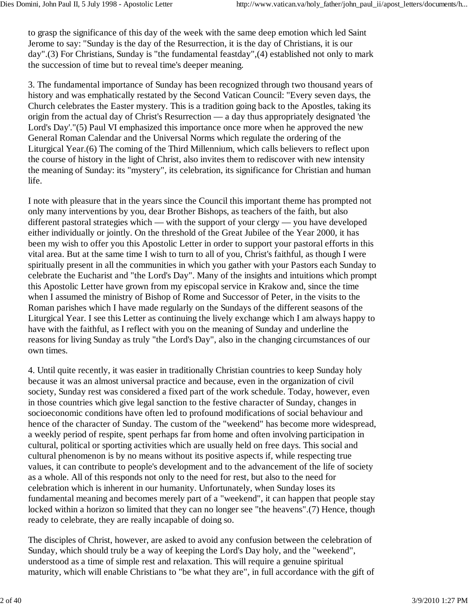to grasp the significance of this day of the week with the same deep emotion which led Saint Jerome to say: "Sunday is the day of the Resurrection, it is the day of Christians, it is our day".(3) For Christians, Sunday is "the fundamental feastday",(4) established not only to mark the succession of time but to reveal time's deeper meaning.

3. The fundamental importance of Sunday has been recognized through two thousand years of history and was emphatically restated by the Second Vatican Council: "Every seven days, the Church celebrates the Easter mystery. This is a tradition going back to the Apostles, taking its origin from the actual day of Christ's Resurrection — a day thus appropriately designated 'the Lord's Day'."(5) Paul VI emphasized this importance once more when he approved the new General Roman Calendar and the Universal Norms which regulate the ordering of the Liturgical Year.(6) The coming of the Third Millennium, which calls believers to reflect upon the course of history in the light of Christ, also invites them to rediscover with new intensity the meaning of Sunday: its "mystery", its celebration, its significance for Christian and human life.

I note with pleasure that in the years since the Council this important theme has prompted not only many interventions by you, dear Brother Bishops, as teachers of the faith, but also different pastoral strategies which — with the support of your clergy — you have developed either individually or jointly. On the threshold of the Great Jubilee of the Year 2000, it has been my wish to offer you this Apostolic Letter in order to support your pastoral efforts in this vital area. But at the same time I wish to turn to all of you, Christ's faithful, as though I were spiritually present in all the communities in which you gather with your Pastors each Sunday to celebrate the Eucharist and "the Lord's Day". Many of the insights and intuitions which prompt this Apostolic Letter have grown from my episcopal service in Krakow and, since the time when I assumed the ministry of Bishop of Rome and Successor of Peter, in the visits to the Roman parishes which I have made regularly on the Sundays of the different seasons of the Liturgical Year. I see this Letter as continuing the lively exchange which I am always happy to have with the faithful, as I reflect with you on the meaning of Sunday and underline the reasons for living Sunday as truly "the Lord's Day", also in the changing circumstances of our own times.

4. Until quite recently, it was easier in traditionally Christian countries to keep Sunday holy because it was an almost universal practice and because, even in the organization of civil society, Sunday rest was considered a fixed part of the work schedule. Today, however, even in those countries which give legal sanction to the festive character of Sunday, changes in socioeconomic conditions have often led to profound modifications of social behaviour and hence of the character of Sunday. The custom of the "weekend" has become more widespread, a weekly period of respite, spent perhaps far from home and often involving participation in cultural, political or sporting activities which are usually held on free days. This social and cultural phenomenon is by no means without its positive aspects if, while respecting true values, it can contribute to people's development and to the advancement of the life of society as a whole. All of this responds not only to the need for rest, but also to the need for celebration which is inherent in our humanity. Unfortunately, when Sunday loses its fundamental meaning and becomes merely part of a "weekend", it can happen that people stay locked within a horizon so limited that they can no longer see "the heavens".(7) Hence, though ready to celebrate, they are really incapable of doing so.

The disciples of Christ, however, are asked to avoid any confusion between the celebration of Sunday, which should truly be a way of keeping the Lord's Day holy, and the "weekend", understood as a time of simple rest and relaxation. This will require a genuine spiritual maturity, which will enable Christians to "be what they are", in full accordance with the gift of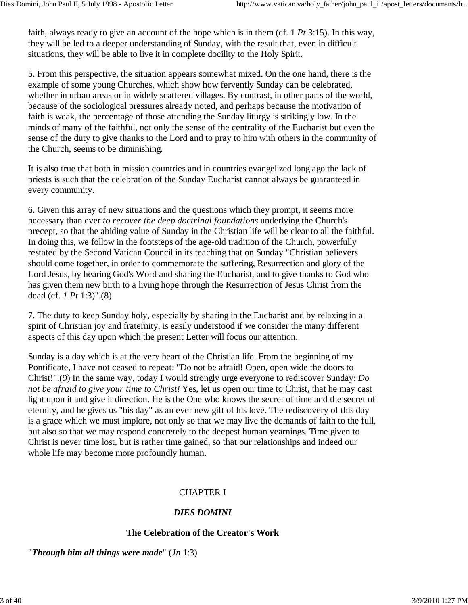faith, always ready to give an account of the hope which is in them (cf. 1 *Pt* 3:15). In this way, they will be led to a deeper understanding of Sunday, with the result that, even in difficult situations, they will be able to live it in complete docility to the Holy Spirit.

5. From this perspective, the situation appears somewhat mixed. On the one hand, there is the example of some young Churches, which show how fervently Sunday can be celebrated, whether in urban areas or in widely scattered villages. By contrast, in other parts of the world, because of the sociological pressures already noted, and perhaps because the motivation of faith is weak, the percentage of those attending the Sunday liturgy is strikingly low. In the minds of many of the faithful, not only the sense of the centrality of the Eucharist but even the sense of the duty to give thanks to the Lord and to pray to him with others in the community of the Church, seems to be diminishing.

It is also true that both in mission countries and in countries evangelized long ago the lack of priests is such that the celebration of the Sunday Eucharist cannot always be guaranteed in every community.

6. Given this array of new situations and the questions which they prompt, it seems more necessary than ever *to recover the deep doctrinal foundations* underlying the Church's precept, so that the abiding value of Sunday in the Christian life will be clear to all the faithful. In doing this, we follow in the footsteps of the age-old tradition of the Church, powerfully restated by the Second Vatican Council in its teaching that on Sunday "Christian believers should come together, in order to commemorate the suffering, Resurrection and glory of the Lord Jesus, by hearing God's Word and sharing the Eucharist, and to give thanks to God who has given them new birth to a living hope through the Resurrection of Jesus Christ from the dead (cf. *1 Pt* 1:3)".(8)

7. The duty to keep Sunday holy, especially by sharing in the Eucharist and by relaxing in a spirit of Christian joy and fraternity, is easily understood if we consider the many different aspects of this day upon which the present Letter will focus our attention.

Sunday is a day which is at the very heart of the Christian life. From the beginning of my Pontificate, I have not ceased to repeat: "Do not be afraid! Open, open wide the doors to Christ!".(9) In the same way, today I would strongly urge everyone to rediscover Sunday: *Do not be afraid to give your time to Christ!* Yes, let us open our time to Christ, that he may cast light upon it and give it direction. He is the One who knows the secret of time and the secret of eternity, and he gives us "his day" as an ever new gift of his love. The rediscovery of this day is a grace which we must implore, not only so that we may live the demands of faith to the full, but also so that we may respond concretely to the deepest human yearnings. Time given to Christ is never time lost, but is rather time gained, so that our relationships and indeed our whole life may become more profoundly human.

## CHAPTER I

# *DIES DOMINI*

## **The Celebration of the Creator's Work**

"*Through him all things were made*" (*Jn* 1:3)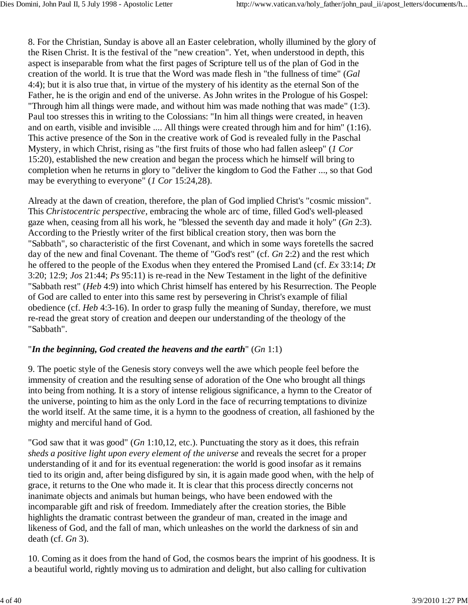8. For the Christian, Sunday is above all an Easter celebration, wholly illumined by the glory of the Risen Christ. It is the festival of the "new creation". Yet, when understood in depth, this aspect is inseparable from what the first pages of Scripture tell us of the plan of God in the creation of the world. It is true that the Word was made flesh in "the fullness of time" (*Gal* 4:4); but it is also true that, in virtue of the mystery of his identity as the eternal Son of the Father, he is the origin and end of the universe. As John writes in the Prologue of his Gospel: "Through him all things were made, and without him was made nothing that was made" (1:3). Paul too stresses this in writing to the Colossians: "In him all things were created, in heaven and on earth, visible and invisible .... All things were created through him and for him" (1:16). This active presence of the Son in the creative work of God is revealed fully in the Paschal Mystery, in which Christ, rising as "the first fruits of those who had fallen asleep" (*1 Cor* 15:20), established the new creation and began the process which he himself will bring to completion when he returns in glory to "deliver the kingdom to God the Father ..., so that God may be everything to everyone" (*1 Cor* 15:24,28).

Already at the dawn of creation, therefore, the plan of God implied Christ's "cosmic mission". This *Christocentric perspective*, embracing the whole arc of time, filled God's well-pleased gaze when, ceasing from all his work, he "blessed the seventh day and made it holy" (*Gn* 2:3). According to the Priestly writer of the first biblical creation story, then was born the "Sabbath", so characteristic of the first Covenant, and which in some ways foretells the sacred day of the new and final Covenant. The theme of "God's rest" (cf. *Gn* 2:2) and the rest which he offered to the people of the Exodus when they entered the Promised Land (cf. *Ex* 33:14; *Dt* 3:20; 12:9; *Jos* 21:44; *Ps* 95:11) is re-read in the New Testament in the light of the definitive "Sabbath rest" (*Heb* 4:9) into which Christ himself has entered by his Resurrection. The People of God are called to enter into this same rest by persevering in Christ's example of filial obedience (cf. *Heb* 4:3-16). In order to grasp fully the meaning of Sunday, therefore, we must re-read the great story of creation and deepen our understanding of the theology of the "Sabbath".

## "*In the beginning, God created the heavens and the earth*" (*Gn* 1:1)

9. The poetic style of the Genesis story conveys well the awe which people feel before the immensity of creation and the resulting sense of adoration of the One who brought all things into being from nothing. It is a story of intense religious significance, a hymn to the Creator of the universe, pointing to him as the only Lord in the face of recurring temptations to divinize the world itself. At the same time, it is a hymn to the goodness of creation, all fashioned by the mighty and merciful hand of God.

"God saw that it was good" (*Gn* 1:10,12, etc.). Punctuating the story as it does, this refrain *sheds a positive light upon every element of the universe* and reveals the secret for a proper understanding of it and for its eventual regeneration: the world is good insofar as it remains tied to its origin and, after being disfigured by sin, it is again made good when, with the help of grace, it returns to the One who made it. It is clear that this process directly concerns not inanimate objects and animals but human beings, who have been endowed with the incomparable gift and risk of freedom. Immediately after the creation stories, the Bible highlights the dramatic contrast between the grandeur of man, created in the image and likeness of God, and the fall of man, which unleashes on the world the darkness of sin and death (cf. *Gn* 3).

10. Coming as it does from the hand of God, the cosmos bears the imprint of his goodness. It is a beautiful world, rightly moving us to admiration and delight, but also calling for cultivation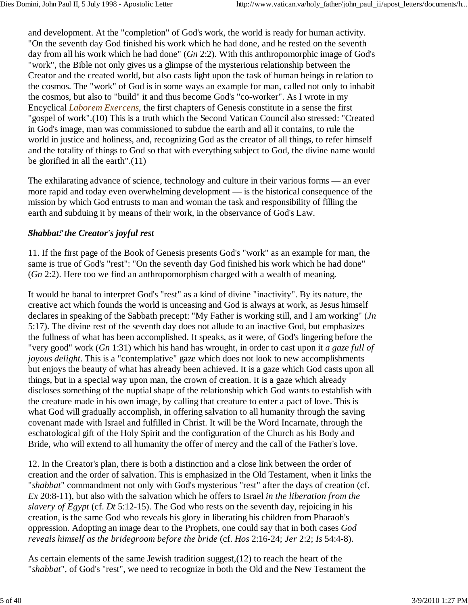and development. At the "completion" of God's work, the world is ready for human activity. "On the seventh day God finished his work which he had done, and he rested on the seventh day from all his work which he had done" (*Gn* 2:2). With this anthropomorphic image of God's "work", the Bible not only gives us a glimpse of the mysterious relationship between the Creator and the created world, but also casts light upon the task of human beings in relation to the cosmos. The "work" of God is in some ways an example for man, called not only to inhabit the cosmos, but also to "build" it and thus become God's "co-worker". As I wrote in my Encyclical *Laborem Exercens*, the first chapters of Genesis constitute in a sense the first "gospel of work".(10) This is a truth which the Second Vatican Council also stressed: "Created in God's image, man was commissioned to subdue the earth and all it contains, to rule the world in justice and holiness, and, recognizing God as the creator of all things, to refer himself and the totality of things to God so that with everything subject to God, the divine name would be glorified in all the earth".(11)

The exhilarating advance of science, technology and culture in their various forms — an ever more rapid and today even overwhelming development — is the historical consequence of the mission by which God entrusts to man and woman the task and responsibility of filling the earth and subduing it by means of their work, in the observance of God's Law.

# *"Shabbat": the Creator's joyful rest*

11. If the first page of the Book of Genesis presents God's "work" as an example for man, the same is true of God's "rest": "On the seventh day God finished his work which he had done" (*Gn* 2:2). Here too we find an anthropomorphism charged with a wealth of meaning.

It would be banal to interpret God's "rest" as a kind of divine "inactivity". By its nature, the creative act which founds the world is unceasing and God is always at work, as Jesus himself declares in speaking of the Sabbath precept: "My Father is working still, and I am working" (*Jn* 5:17). The divine rest of the seventh day does not allude to an inactive God, but emphasizes the fullness of what has been accomplished. It speaks, as it were, of God's lingering before the "very good" work (*Gn* 1:31) which his hand has wrought, in order to cast upon it *a gaze full of joyous delight*. This is a "contemplative" gaze which does not look to new accomplishments but enjoys the beauty of what has already been achieved. It is a gaze which God casts upon all things, but in a special way upon man, the crown of creation. It is a gaze which already discloses something of the nuptial shape of the relationship which God wants to establish with the creature made in his own image, by calling that creature to enter a pact of love. This is what God will gradually accomplish, in offering salvation to all humanity through the saving covenant made with Israel and fulfilled in Christ. It will be the Word Incarnate, through the eschatological gift of the Holy Spirit and the configuration of the Church as his Body and Bride, who will extend to all humanity the offer of mercy and the call of the Father's love.

12. In the Creator's plan, there is both a distinction and a close link between the order of creation and the order of salvation. This is emphasized in the Old Testament, when it links the "*shabbat*" commandment not only with God's mysterious "rest" after the days of creation (cf. *Ex* 20:8-11), but also with the salvation which he offers to Israel *in the liberation from the slavery of Egypt* (cf. *Dt* 5:12-15). The God who rests on the seventh day, rejoicing in his creation, is the same God who reveals his glory in liberating his children from Pharaoh's oppression. Adopting an image dear to the Prophets, one could say that in both cases *God reveals himself as the bridegroom before the bride* (cf. *Hos* 2:16-24; *Jer* 2:2; *Is* 54:4-8).

As certain elements of the same Jewish tradition suggest,(12) to reach the heart of the "*shabbat*", of God's "rest", we need to recognize in both the Old and the New Testament the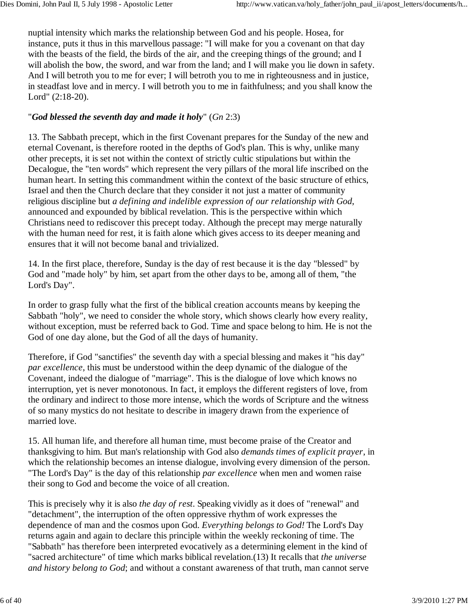nuptial intensity which marks the relationship between God and his people. Hosea, for instance, puts it thus in this marvellous passage: "I will make for you a covenant on that day with the beasts of the field, the birds of the air, and the creeping things of the ground; and I will abolish the bow, the sword, and war from the land; and I will make you lie down in safety. And I will betroth you to me for ever; I will betroth you to me in righteousness and in justice, in steadfast love and in mercy. I will betroth you to me in faithfulness; and you shall know the Lord" (2:18-20).

## "*God blessed the seventh day and made it holy*" (*Gn* 2:3)

13. The Sabbath precept, which in the first Covenant prepares for the Sunday of the new and eternal Covenant, is therefore rooted in the depths of God's plan. This is why, unlike many other precepts, it is set not within the context of strictly cultic stipulations but within the Decalogue, the "ten words" which represent the very pillars of the moral life inscribed on the human heart. In setting this commandment within the context of the basic structure of ethics, Israel and then the Church declare that they consider it not just a matter of community religious discipline but *a defining and indelible expression of our relationship with God*, announced and expounded by biblical revelation. This is the perspective within which Christians need to rediscover this precept today. Although the precept may merge naturally with the human need for rest, it is faith alone which gives access to its deeper meaning and ensures that it will not become banal and trivialized.

14. In the first place, therefore, Sunday is the day of rest because it is the day "blessed" by God and "made holy" by him, set apart from the other days to be, among all of them, "the Lord's Day".

In order to grasp fully what the first of the biblical creation accounts means by keeping the Sabbath "holy", we need to consider the whole story, which shows clearly how every reality, without exception, must be referred back to God. Time and space belong to him. He is not the God of one day alone, but the God of all the days of humanity.

Therefore, if God "sanctifies" the seventh day with a special blessing and makes it "his day" *par excellence*, this must be understood within the deep dynamic of the dialogue of the Covenant, indeed the dialogue of "marriage". This is the dialogue of love which knows no interruption, yet is never monotonous. In fact, it employs the different registers of love, from the ordinary and indirect to those more intense, which the words of Scripture and the witness of so many mystics do not hesitate to describe in imagery drawn from the experience of married love.

15. All human life, and therefore all human time, must become praise of the Creator and thanksgiving to him. But man's relationship with God also *demands times of explicit prayer*, in which the relationship becomes an intense dialogue, involving every dimension of the person. "The Lord's Day" is the day of this relationship *par excellence* when men and women raise their song to God and become the voice of all creation.

This is precisely why it is also *the day of rest*. Speaking vividly as it does of "renewal" and "detachment", the interruption of the often oppressive rhythm of work expresses the dependence of man and the cosmos upon God. *Everything belongs to God!* The Lord's Day returns again and again to declare this principle within the weekly reckoning of time. The "Sabbath" has therefore been interpreted evocatively as a determining element in the kind of "sacred architecture" of time which marks biblical revelation.(13) It recalls that *the universe and history belong to God*; and without a constant awareness of that truth, man cannot serve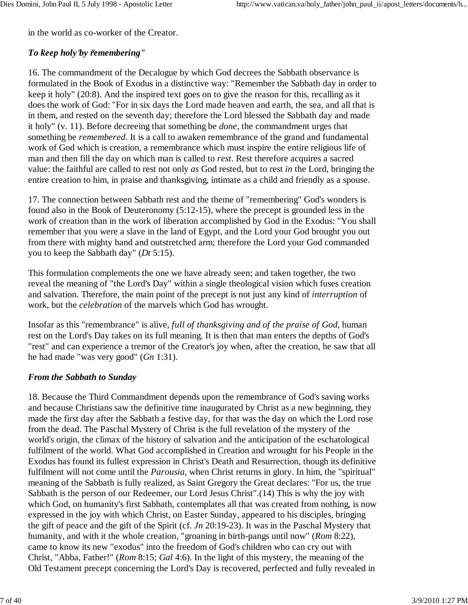in the world as co-worker of the Creator.

# **To keep holy'by remembering''**

16. The commandment of the Decalogue by which God decrees the Sabbath observance is formulated in the Book of Exodus in a distinctive way: "Remember the Sabbath day in order to keep it holy" (20:8). And the inspired text goes on to give the reason for this, recalling as it does the work of God: "For in six days the Lord made heaven and earth, the sea, and all that is in them, and rested on the seventh day; therefore the Lord blessed the Sabbath day and made it holy" (v. 11). Before decreeing that something be *done*, the commandment urges that something be *remembered*. It is a call to awaken remembrance of the grand and fundamental work of God which is creation, a remembrance which must inspire the entire religious life of man and then fill the day on which man is called to *rest*. Rest therefore acquires a sacred value: the faithful are called to rest not only *as* God rested, but to rest *in* the Lord, bringing the entire creation to him, in praise and thanksgiving, intimate as a child and friendly as a spouse.

17. The connection between Sabbath rest and the theme of "remembering" God's wonders is found also in the Book of Deuteronomy (5:12-15), where the precept is grounded less in the work of creation than in the work of liberation accomplished by God in the Exodus: "You shall remember that you were a slave in the land of Egypt, and the Lord your God brought you out from there with mighty hand and outstretched arm; therefore the Lord your God commanded you to keep the Sabbath day" (*Dt* 5:15).

This formulation complements the one we have already seen; and taken together, the two reveal the meaning of "the Lord's Day" within a single theological vision which fuses creation and salvation. Therefore, the main point of the precept is not just any kind of *interruption* of work, but the *celebration* of the marvels which God has wrought.

Insofar as this "remembrance" is alive, *full of thanksgiving and of the praise of God*, human rest on the Lord's Day takes on its full meaning. It is then that man enters the depths of God's "rest" and can experience a tremor of the Creator's joy when, after the creation, he saw that all he had made "was very good" (*Gn* 1:31).

## *From the Sabbath to Sunday*

18. Because the Third Commandment depends upon the remembrance of God's saving works and because Christians saw the definitive time inaugurated by Christ as a new beginning, they made the first day after the Sabbath a festive day, for that was the day on which the Lord rose from the dead. The Paschal Mystery of Christ is the full revelation of the mystery of the world's origin, the climax of the history of salvation and the anticipation of the eschatological fulfilment of the world. What God accomplished in Creation and wrought for his People in the Exodus has found its fullest expression in Christ's Death and Resurrection, though its definitive fulfilment will not come until the *Parousia*, when Christ returns in glory. In him, the "spiritual" meaning of the Sabbath is fully realized, as Saint Gregory the Great declares: "For us, the true Sabbath is the person of our Redeemer, our Lord Jesus Christ".(14) This is why the joy with which God, on humanity's first Sabbath, contemplates all that was created from nothing, is now expressed in the joy with which Christ, on Easter Sunday, appeared to his disciples, bringing the gift of peace and the gift of the Spirit (cf. *Jn* 20:19-23). It was in the Paschal Mystery that humanity, and with it the whole creation, "groaning in birth-pangs until now" (*Rom* 8:22), came to know its new "exodus" into the freedom of God's children who can cry out with Christ, "Abba, Father!" (*Rom* 8:15; *Gal* 4:6). In the light of this mystery, the meaning of the Old Testament precept concerning the Lord's Day is recovered, perfected and fully revealed in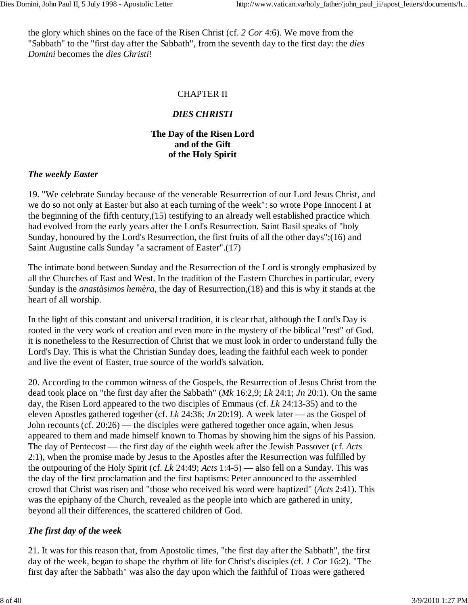the glory which shines on the face of the Risen Christ (cf. *2 Cor* 4:6). We move from the "Sabbath" to the "first day after the Sabbath", from the seventh day to the first day: the *dies Domini* becomes the *dies Christi*!

### CHAPTER II

### *DIES CHRISTI*

#### **The Day of the Risen Lord and of the Gift of the Holy Spirit**

### *The weekly Easter*

19. "We celebrate Sunday because of the venerable Resurrection of our Lord Jesus Christ, and we do so not only at Easter but also at each turning of the week": so wrote Pope Innocent I at the beginning of the fifth century,(15) testifying to an already well established practice which had evolved from the early years after the Lord's Resurrection. Saint Basil speaks of "holy Sunday, honoured by the Lord's Resurrection, the first fruits of all the other days";(16) and Saint Augustine calls Sunday "a sacrament of Easter".(17)

The intimate bond between Sunday and the Resurrection of the Lord is strongly emphasized by all the Churches of East and West. In the tradition of the Eastern Churches in particular, every Sunday is the *anastàsimos hemèra*, the day of Resurrection,(18) and this is why it stands at the heart of all worship.

In the light of this constant and universal tradition, it is clear that, although the Lord's Day is rooted in the very work of creation and even more in the mystery of the biblical "rest" of God, it is nonetheless to the Resurrection of Christ that we must look in order to understand fully the Lord's Day. This is what the Christian Sunday does, leading the faithful each week to ponder and live the event of Easter, true source of the world's salvation.

20. According to the common witness of the Gospels, the Resurrection of Jesus Christ from the dead took place on "the first day after the Sabbath" (*Mk* 16:2,9; *Lk* 24:1; *Jn* 20:1). On the same day, the Risen Lord appeared to the two disciples of Emmaus (cf. *Lk* 24:13-35) and to the eleven Apostles gathered together (cf. *Lk* 24:36; *Jn* 20:19). A week later — as the Gospel of John recounts (cf. 20:26) — the disciples were gathered together once again, when Jesus appeared to them and made himself known to Thomas by showing him the signs of his Passion. The day of Pentecost — the first day of the eighth week after the Jewish Passover (cf. *Acts* 2:1), when the promise made by Jesus to the Apostles after the Resurrection was fulfilled by the outpouring of the Holy Spirit (cf. *Lk* 24:49; *Acts* 1:4-5) — also fell on a Sunday. This was the day of the first proclamation and the first baptisms: Peter announced to the assembled crowd that Christ was risen and "those who received his word were baptized" (*Acts* 2:41). This was the epiphany of the Church, revealed as the people into which are gathered in unity, beyond all their differences, the scattered children of God.

# *The first day of the week*

21. It was for this reason that, from Apostolic times, "the first day after the Sabbath", the first day of the week, began to shape the rhythm of life for Christ's disciples (cf. *1 Cor* 16:2). "The first day after the Sabbath" was also the day upon which the faithful of Troas were gathered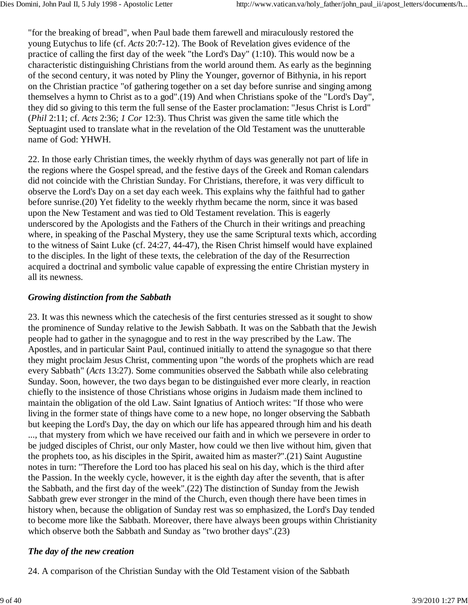"for the breaking of bread", when Paul bade them farewell and miraculously restored the young Eutychus to life (cf. *Acts* 20:7-12). The Book of Revelation gives evidence of the practice of calling the first day of the week "the Lord's Day" (1:10). This would now be a characteristic distinguishing Christians from the world around them. As early as the beginning of the second century, it was noted by Pliny the Younger, governor of Bithynia, in his report on the Christian practice "of gathering together on a set day before sunrise and singing among themselves a hymn to Christ as to a god".(19) And when Christians spoke of the "Lord's Day", they did so giving to this term the full sense of the Easter proclamation: "Jesus Christ is Lord" (*Phil* 2:11; cf. *Acts* 2:36; *1 Cor* 12:3). Thus Christ was given the same title which the Septuagint used to translate what in the revelation of the Old Testament was the unutterable name of God: YHWH.

22. In those early Christian times, the weekly rhythm of days was generally not part of life in the regions where the Gospel spread, and the festive days of the Greek and Roman calendars did not coincide with the Christian Sunday. For Christians, therefore, it was very difficult to observe the Lord's Day on a set day each week. This explains why the faithful had to gather before sunrise.(20) Yet fidelity to the weekly rhythm became the norm, since it was based upon the New Testament and was tied to Old Testament revelation. This is eagerly underscored by the Apologists and the Fathers of the Church in their writings and preaching where, in speaking of the Paschal Mystery, they use the same Scriptural texts which, according to the witness of Saint Luke (cf. 24:27, 44-47), the Risen Christ himself would have explained to the disciples. In the light of these texts, the celebration of the day of the Resurrection acquired a doctrinal and symbolic value capable of expressing the entire Christian mystery in all its newness.

## *Growing distinction from the Sabbath*

23. It was this newness which the catechesis of the first centuries stressed as it sought to show the prominence of Sunday relative to the Jewish Sabbath. It was on the Sabbath that the Jewish people had to gather in the synagogue and to rest in the way prescribed by the Law. The Apostles, and in particular Saint Paul, continued initially to attend the synagogue so that there they might proclaim Jesus Christ, commenting upon "the words of the prophets which are read every Sabbath" (*Acts* 13:27). Some communities observed the Sabbath while also celebrating Sunday. Soon, however, the two days began to be distinguished ever more clearly, in reaction chiefly to the insistence of those Christians whose origins in Judaism made them inclined to maintain the obligation of the old Law. Saint Ignatius of Antioch writes: "If those who were living in the former state of things have come to a new hope, no longer observing the Sabbath but keeping the Lord's Day, the day on which our life has appeared through him and his death ..., that mystery from which we have received our faith and in which we persevere in order to be judged disciples of Christ, our only Master, how could we then live without him, given that the prophets too, as his disciples in the Spirit, awaited him as master?".(21) Saint Augustine notes in turn: "Therefore the Lord too has placed his seal on his day, which is the third after the Passion. In the weekly cycle, however, it is the eighth day after the seventh, that is after the Sabbath, and the first day of the week".(22) The distinction of Sunday from the Jewish Sabbath grew ever stronger in the mind of the Church, even though there have been times in history when, because the obligation of Sunday rest was so emphasized, the Lord's Day tended to become more like the Sabbath. Moreover, there have always been groups within Christianity which observe both the Sabbath and Sunday as "two brother days".(23)

# *The day of the new creation*

24. A comparison of the Christian Sunday with the Old Testament vision of the Sabbath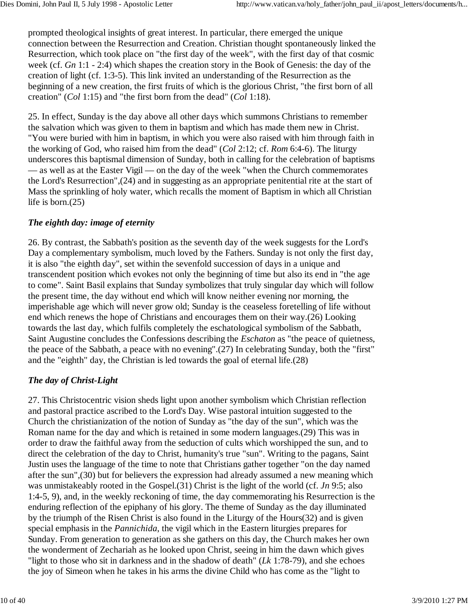prompted theological insights of great interest. In particular, there emerged the unique connection between the Resurrection and Creation. Christian thought spontaneously linked the Resurrection, which took place on "the first day of the week", with the first day of that cosmic week (cf. *Gn* 1:1 - 2:4) which shapes the creation story in the Book of Genesis: the day of the creation of light (cf. 1:3-5). This link invited an understanding of the Resurrection as the beginning of a new creation, the first fruits of which is the glorious Christ, "the first born of all creation" (*Col* 1:15) and "the first born from the dead" (*Col* 1:18).

25. In effect, Sunday is the day above all other days which summons Christians to remember the salvation which was given to them in baptism and which has made them new in Christ. "You were buried with him in baptism, in which you were also raised with him through faith in the working of God, who raised him from the dead" (*Col* 2:12; cf. *Rom* 6:4-6). The liturgy underscores this baptismal dimension of Sunday, both in calling for the celebration of baptisms — as well as at the Easter Vigil — on the day of the week "when the Church commemorates the Lord's Resurrection",(24) and in suggesting as an appropriate penitential rite at the start of Mass the sprinkling of holy water, which recalls the moment of Baptism in which all Christian life is born.(25)

# *The eighth day: image of eternity*

26. By contrast, the Sabbath's position as the seventh day of the week suggests for the Lord's Day a complementary symbolism, much loved by the Fathers. Sunday is not only the first day, it is also "the eighth day", set within the sevenfold succession of days in a unique and transcendent position which evokes not only the beginning of time but also its end in "the age to come". Saint Basil explains that Sunday symbolizes that truly singular day which will follow the present time, the day without end which will know neither evening nor morning, the imperishable age which will never grow old; Sunday is the ceaseless foretelling of life without end which renews the hope of Christians and encourages them on their way.(26) Looking towards the last day, which fulfils completely the eschatological symbolism of the Sabbath, Saint Augustine concludes the Confessions describing the *Eschaton* as "the peace of quietness, the peace of the Sabbath, a peace with no evening".(27) In celebrating Sunday, both the "first" and the "eighth" day, the Christian is led towards the goal of eternal life.(28)

# *The day of Christ-Light*

27. This Christocentric vision sheds light upon another symbolism which Christian reflection and pastoral practice ascribed to the Lord's Day. Wise pastoral intuition suggested to the Church the christianization of the notion of Sunday as "the day of the sun", which was the Roman name for the day and which is retained in some modern languages.(29) This was in order to draw the faithful away from the seduction of cults which worshipped the sun, and to direct the celebration of the day to Christ, humanity's true "sun". Writing to the pagans, Saint Justin uses the language of the time to note that Christians gather together "on the day named after the sun",(30) but for believers the expression had already assumed a new meaning which was unmistakeably rooted in the Gospel.(31) Christ is the light of the world (cf. *Jn* 9:5; also 1:4-5, 9), and, in the weekly reckoning of time, the day commemorating his Resurrection is the enduring reflection of the epiphany of his glory. The theme of Sunday as the day illuminated by the triumph of the Risen Christ is also found in the Liturgy of the Hours(32) and is given special emphasis in the *Pannichida*, the vigil which in the Eastern liturgies prepares for Sunday. From generation to generation as she gathers on this day, the Church makes her own the wonderment of Zechariah as he looked upon Christ, seeing in him the dawn which gives "light to those who sit in darkness and in the shadow of death" (*Lk* 1:78-79), and she echoes the joy of Simeon when he takes in his arms the divine Child who has come as the "light to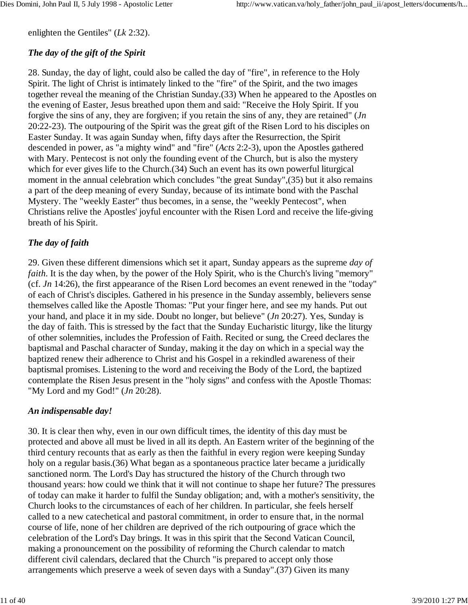enlighten the Gentiles" (*Lk* 2:32).

# *The day of the gift of the Spirit*

28. Sunday, the day of light, could also be called the day of "fire", in reference to the Holy Spirit. The light of Christ is intimately linked to the "fire" of the Spirit, and the two images together reveal the meaning of the Christian Sunday.(33) When he appeared to the Apostles on the evening of Easter, Jesus breathed upon them and said: "Receive the Holy Spirit. If you forgive the sins of any, they are forgiven; if you retain the sins of any, they are retained" (*Jn* 20:22-23). The outpouring of the Spirit was the great gift of the Risen Lord to his disciples on Easter Sunday. It was again Sunday when, fifty days after the Resurrection, the Spirit descended in power, as "a mighty wind" and "fire" (*Acts* 2:2-3), upon the Apostles gathered with Mary. Pentecost is not only the founding event of the Church, but is also the mystery which for ever gives life to the Church. (34) Such an event has its own powerful liturgical moment in the annual celebration which concludes "the great Sunday",(35) but it also remains a part of the deep meaning of every Sunday, because of its intimate bond with the Paschal Mystery. The "weekly Easter" thus becomes, in a sense, the "weekly Pentecost", when Christians relive the Apostles' joyful encounter with the Risen Lord and receive the life-giving breath of his Spirit.

# *The day of faith*

29. Given these different dimensions which set it apart, Sunday appears as the supreme *day of faith*. It is the day when, by the power of the Holy Spirit, who is the Church's living "memory" (cf. *Jn* 14:26), the first appearance of the Risen Lord becomes an event renewed in the "today" of each of Christ's disciples. Gathered in his presence in the Sunday assembly, believers sense themselves called like the Apostle Thomas: "Put your finger here, and see my hands. Put out your hand, and place it in my side. Doubt no longer, but believe" (*Jn* 20:27). Yes, Sunday is the day of faith. This is stressed by the fact that the Sunday Eucharistic liturgy, like the liturgy of other solemnities, includes the Profession of Faith. Recited or sung, the Creed declares the baptismal and Paschal character of Sunday, making it the day on which in a special way the baptized renew their adherence to Christ and his Gospel in a rekindled awareness of their baptismal promises. Listening to the word and receiving the Body of the Lord, the baptized contemplate the Risen Jesus present in the "holy signs" and confess with the Apostle Thomas: "My Lord and my God!" (*Jn* 20:28).

# *An indispensable day!*

30. It is clear then why, even in our own difficult times, the identity of this day must be protected and above all must be lived in all its depth. An Eastern writer of the beginning of the third century recounts that as early as then the faithful in every region were keeping Sunday holy on a regular basis. (36) What began as a spontaneous practice later became a juridically sanctioned norm. The Lord's Day has structured the history of the Church through two thousand years: how could we think that it will not continue to shape her future? The pressures of today can make it harder to fulfil the Sunday obligation; and, with a mother's sensitivity, the Church looks to the circumstances of each of her children. In particular, she feels herself called to a new catechetical and pastoral commitment, in order to ensure that, in the normal course of life, none of her children are deprived of the rich outpouring of grace which the celebration of the Lord's Day brings. It was in this spirit that the Second Vatican Council, making a pronouncement on the possibility of reforming the Church calendar to match different civil calendars, declared that the Church "is prepared to accept only those arrangements which preserve a week of seven days with a Sunday".(37) Given its many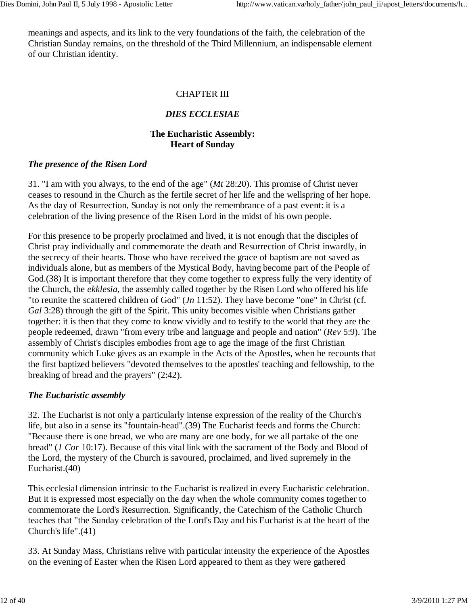meanings and aspects, and its link to the very foundations of the faith, the celebration of the Christian Sunday remains, on the threshold of the Third Millennium, an indispensable element of our Christian identity.

#### CHAPTER III

### *DIES ECCLESIAE*

#### **The Eucharistic Assembly: Heart of Sunday**

### *The presence of the Risen Lord*

31. "I am with you always, to the end of the age" (*Mt* 28:20). This promise of Christ never ceases to resound in the Church as the fertile secret of her life and the wellspring of her hope. As the day of Resurrection, Sunday is not only the remembrance of a past event: it is a celebration of the living presence of the Risen Lord in the midst of his own people.

For this presence to be properly proclaimed and lived, it is not enough that the disciples of Christ pray individually and commemorate the death and Resurrection of Christ inwardly, in the secrecy of their hearts. Those who have received the grace of baptism are not saved as individuals alone, but as members of the Mystical Body, having become part of the People of God.(38) It is important therefore that they come together to express fully the very identity of the Church, the *ekklesia*, the assembly called together by the Risen Lord who offered his life "to reunite the scattered children of God" (*Jn* 11:52). They have become "one" in Christ (cf. *Gal* 3:28) through the gift of the Spirit. This unity becomes visible when Christians gather together: it is then that they come to know vividly and to testify to the world that they are the people redeemed, drawn "from every tribe and language and people and nation" (*Rev* 5:9). The assembly of Christ's disciples embodies from age to age the image of the first Christian community which Luke gives as an example in the Acts of the Apostles, when he recounts that the first baptized believers "devoted themselves to the apostles' teaching and fellowship, to the breaking of bread and the prayers" (2:42).

## *The Eucharistic assembly*

32. The Eucharist is not only a particularly intense expression of the reality of the Church's life, but also in a sense its "fountain-head".(39) The Eucharist feeds and forms the Church: "Because there is one bread, we who are many are one body, for we all partake of the one bread" (*1 Cor* 10:17). Because of this vital link with the sacrament of the Body and Blood of the Lord, the mystery of the Church is savoured, proclaimed, and lived supremely in the Eucharist.(40)

This ecclesial dimension intrinsic to the Eucharist is realized in every Eucharistic celebration. But it is expressed most especially on the day when the whole community comes together to commemorate the Lord's Resurrection. Significantly, the Catechism of the Catholic Church teaches that "the Sunday celebration of the Lord's Day and his Eucharist is at the heart of the Church's life".(41)

33. At Sunday Mass, Christians relive with particular intensity the experience of the Apostles on the evening of Easter when the Risen Lord appeared to them as they were gathered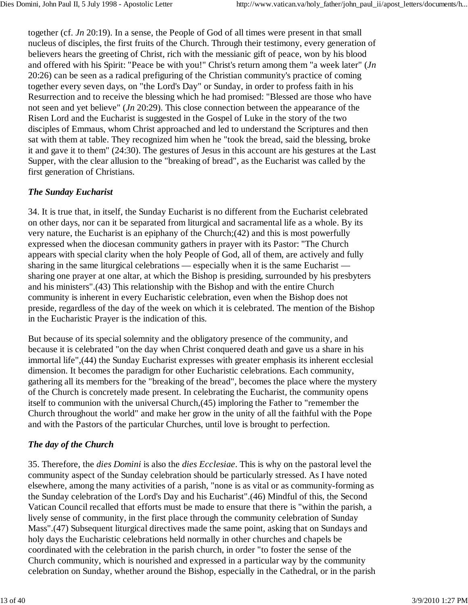together (cf. *Jn* 20:19). In a sense, the People of God of all times were present in that small nucleus of disciples, the first fruits of the Church. Through their testimony, every generation of believers hears the greeting of Christ, rich with the messianic gift of peace, won by his blood and offered with his Spirit: "Peace be with you!" Christ's return among them "a week later" (*Jn* 20:26) can be seen as a radical prefiguring of the Christian community's practice of coming together every seven days, on "the Lord's Day" or Sunday, in order to profess faith in his Resurrection and to receive the blessing which he had promised: "Blessed are those who have not seen and yet believe" (*Jn* 20:29). This close connection between the appearance of the Risen Lord and the Eucharist is suggested in the Gospel of Luke in the story of the two disciples of Emmaus, whom Christ approached and led to understand the Scriptures and then sat with them at table. They recognized him when he "took the bread, said the blessing, broke it and gave it to them" (24:30). The gestures of Jesus in this account are his gestures at the Last Supper, with the clear allusion to the "breaking of bread", as the Eucharist was called by the first generation of Christians.

# *The Sunday Eucharist*

34. It is true that, in itself, the Sunday Eucharist is no different from the Eucharist celebrated on other days, nor can it be separated from liturgical and sacramental life as a whole. By its very nature, the Eucharist is an epiphany of the Church;(42) and this is most powerfully expressed when the diocesan community gathers in prayer with its Pastor: "The Church appears with special clarity when the holy People of God, all of them, are actively and fully sharing in the same liturgical celebrations — especially when it is the same Eucharist sharing one prayer at one altar, at which the Bishop is presiding, surrounded by his presbyters and his ministers".(43) This relationship with the Bishop and with the entire Church community is inherent in every Eucharistic celebration, even when the Bishop does not preside, regardless of the day of the week on which it is celebrated. The mention of the Bishop in the Eucharistic Prayer is the indication of this.

But because of its special solemnity and the obligatory presence of the community, and because it is celebrated "on the day when Christ conquered death and gave us a share in his immortal life",(44) the Sunday Eucharist expresses with greater emphasis its inherent ecclesial dimension. It becomes the paradigm for other Eucharistic celebrations. Each community, gathering all its members for the "breaking of the bread", becomes the place where the mystery of the Church is concretely made present. In celebrating the Eucharist, the community opens itself to communion with the universal Church,(45) imploring the Father to "remember the Church throughout the world" and make her grow in the unity of all the faithful with the Pope and with the Pastors of the particular Churches, until love is brought to perfection.

# *The day of the Church*

35. Therefore, the *dies Domini* is also the *dies Ecclesiae*. This is why on the pastoral level the community aspect of the Sunday celebration should be particularly stressed. As I have noted elsewhere, among the many activities of a parish, "none is as vital or as community-forming as the Sunday celebration of the Lord's Day and his Eucharist".(46) Mindful of this, the Second Vatican Council recalled that efforts must be made to ensure that there is "within the parish, a lively sense of community, in the first place through the community celebration of Sunday Mass".(47) Subsequent liturgical directives made the same point, asking that on Sundays and holy days the Eucharistic celebrations held normally in other churches and chapels be coordinated with the celebration in the parish church, in order "to foster the sense of the Church community, which is nourished and expressed in a particular way by the community celebration on Sunday, whether around the Bishop, especially in the Cathedral, or in the parish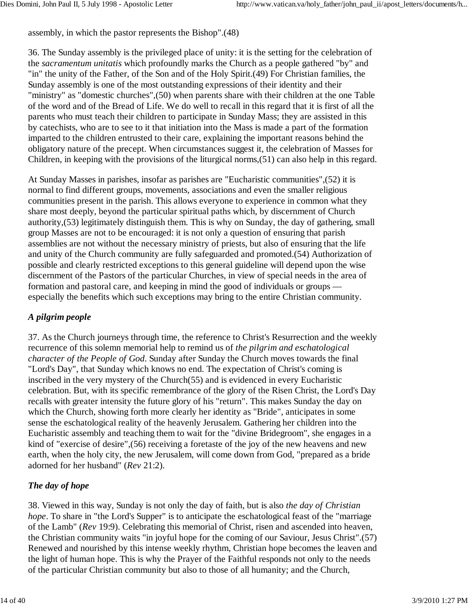assembly, in which the pastor represents the Bishop".(48)

36. The Sunday assembly is the privileged place of unity: it is the setting for the celebration of the *sacramentum unitatis* which profoundly marks the Church as a people gathered "by" and "in" the unity of the Father, of the Son and of the Holy Spirit.(49) For Christian families, the Sunday assembly is one of the most outstanding expressions of their identity and their "ministry" as "domestic churches",(50) when parents share with their children at the one Table of the word and of the Bread of Life. We do well to recall in this regard that it is first of all the parents who must teach their children to participate in Sunday Mass; they are assisted in this by catechists, who are to see to it that initiation into the Mass is made a part of the formation imparted to the children entrusted to their care, explaining the important reasons behind the obligatory nature of the precept. When circumstances suggest it, the celebration of Masses for Children, in keeping with the provisions of the liturgical norms,(51) can also help in this regard.

At Sunday Masses in parishes, insofar as parishes are "Eucharistic communities",(52) it is normal to find different groups, movements, associations and even the smaller religious communities present in the parish. This allows everyone to experience in common what they share most deeply, beyond the particular spiritual paths which, by discernment of Church authority,(53) legitimately distinguish them. This is why on Sunday, the day of gathering, small group Masses are not to be encouraged: it is not only a question of ensuring that parish assemblies are not without the necessary ministry of priests, but also of ensuring that the life and unity of the Church community are fully safeguarded and promoted.(54) Authorization of possible and clearly restricted exceptions to this general guideline will depend upon the wise discernment of the Pastors of the particular Churches, in view of special needs in the area of formation and pastoral care, and keeping in mind the good of individuals or groups especially the benefits which such exceptions may bring to the entire Christian community.

# *A pilgrim people*

37. As the Church journeys through time, the reference to Christ's Resurrection and the weekly recurrence of this solemn memorial help to remind us of *the pilgrim and eschatological character of the People of God*. Sunday after Sunday the Church moves towards the final "Lord's Day", that Sunday which knows no end. The expectation of Christ's coming is inscribed in the very mystery of the Church(55) and is evidenced in every Eucharistic celebration. But, with its specific remembrance of the glory of the Risen Christ, the Lord's Day recalls with greater intensity the future glory of his "return". This makes Sunday the day on which the Church, showing forth more clearly her identity as "Bride", anticipates in some sense the eschatological reality of the heavenly Jerusalem. Gathering her children into the Eucharistic assembly and teaching them to wait for the "divine Bridegroom", she engages in a kind of "exercise of desire",(56) receiving a foretaste of the joy of the new heavens and new earth, when the holy city, the new Jerusalem, will come down from God, "prepared as a bride adorned for her husband" (*Rev* 21:2).

# *The day of hope*

38. Viewed in this way, Sunday is not only the day of faith, but is also *the day of Christian hope*. To share in "the Lord's Supper" is to anticipate the eschatological feast of the "marriage of the Lamb" (*Rev* 19:9). Celebrating this memorial of Christ, risen and ascended into heaven, the Christian community waits "in joyful hope for the coming of our Saviour, Jesus Christ".(57) Renewed and nourished by this intense weekly rhythm, Christian hope becomes the leaven and the light of human hope. This is why the Prayer of the Faithful responds not only to the needs of the particular Christian community but also to those of all humanity; and the Church,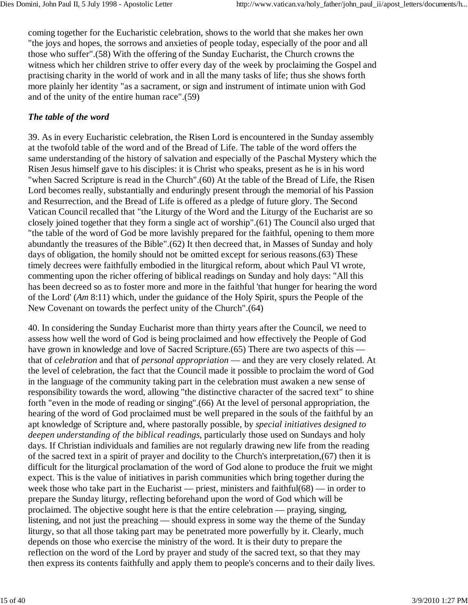coming together for the Eucharistic celebration, shows to the world that she makes her own "the joys and hopes, the sorrows and anxieties of people today, especially of the poor and all those who suffer".(58) With the offering of the Sunday Eucharist, the Church crowns the witness which her children strive to offer every day of the week by proclaiming the Gospel and practising charity in the world of work and in all the many tasks of life; thus she shows forth more plainly her identity "as a sacrament, or sign and instrument of intimate union with God and of the unity of the entire human race".(59)

## *The table of the word*

39. As in every Eucharistic celebration, the Risen Lord is encountered in the Sunday assembly at the twofold table of the word and of the Bread of Life. The table of the word offers the same understanding of the history of salvation and especially of the Paschal Mystery which the Risen Jesus himself gave to his disciples: it is Christ who speaks, present as he is in his word "when Sacred Scripture is read in the Church".(60) At the table of the Bread of Life, the Risen Lord becomes really, substantially and enduringly present through the memorial of his Passion and Resurrection, and the Bread of Life is offered as a pledge of future glory. The Second Vatican Council recalled that "the Liturgy of the Word and the Liturgy of the Eucharist are so closely joined together that they form a single act of worship".(61) The Council also urged that "the table of the word of God be more lavishly prepared for the faithful, opening to them more abundantly the treasures of the Bible".(62) It then decreed that, in Masses of Sunday and holy days of obligation, the homily should not be omitted except for serious reasons.(63) These timely decrees were faithfully embodied in the liturgical reform, about which Paul VI wrote, commenting upon the richer offering of biblical readings on Sunday and holy days: "All this has been decreed so as to foster more and more in the faithful 'that hunger for hearing the word of the Lord' (*Am* 8:11) which, under the guidance of the Holy Spirit, spurs the People of the New Covenant on towards the perfect unity of the Church".(64)

40. In considering the Sunday Eucharist more than thirty years after the Council, we need to assess how well the word of God is being proclaimed and how effectively the People of God have grown in knowledge and love of Sacred Scripture.(65) There are two aspects of this that of *celebration* and that of *personal appropriation* — and they are very closely related. At the level of celebration, the fact that the Council made it possible to proclaim the word of God in the language of the community taking part in the celebration must awaken a new sense of responsibility towards the word, allowing "the distinctive character of the sacred text" to shine forth "even in the mode of reading or singing".(66) At the level of personal appropriation, the hearing of the word of God proclaimed must be well prepared in the souls of the faithful by an apt knowledge of Scripture and, where pastorally possible, by *special initiatives designed to deepen understanding of the biblical readings*, particularly those used on Sundays and holy days. If Christian individuals and families are not regularly drawing new life from the reading of the sacred text in a spirit of prayer and docility to the Church's interpretation,(67) then it is difficult for the liturgical proclamation of the word of God alone to produce the fruit we might expect. This is the value of initiatives in parish communities which bring together during the week those who take part in the Eucharist — priest, ministers and faithful(68) — in order to prepare the Sunday liturgy, reflecting beforehand upon the word of God which will be proclaimed. The objective sought here is that the entire celebration — praying, singing, listening, and not just the preaching — should express in some way the theme of the Sunday liturgy, so that all those taking part may be penetrated more powerfully by it. Clearly, much depends on those who exercise the ministry of the word. It is their duty to prepare the reflection on the word of the Lord by prayer and study of the sacred text, so that they may then express its contents faithfully and apply them to people's concerns and to their daily lives.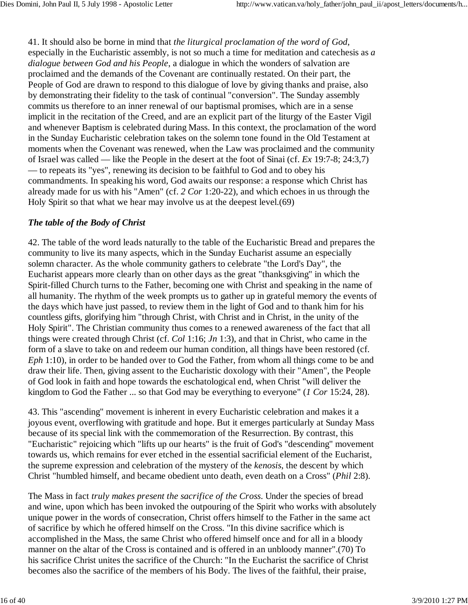41. It should also be borne in mind that *the liturgical proclamation of the word of God*, especially in the Eucharistic assembly, is not so much a time for meditation and catechesis as *a dialogue between God and his People*, a dialogue in which the wonders of salvation are proclaimed and the demands of the Covenant are continually restated. On their part, the People of God are drawn to respond to this dialogue of love by giving thanks and praise, also by demonstrating their fidelity to the task of continual "conversion". The Sunday assembly commits us therefore to an inner renewal of our baptismal promises, which are in a sense implicit in the recitation of the Creed, and are an explicit part of the liturgy of the Easter Vigil and whenever Baptism is celebrated during Mass. In this context, the proclamation of the word in the Sunday Eucharistic celebration takes on the solemn tone found in the Old Testament at moments when the Covenant was renewed, when the Law was proclaimed and the community of Israel was called — like the People in the desert at the foot of Sinai (cf. *Ex* 19:7-8; 24:3,7) — to repeats its "yes", renewing its decision to be faithful to God and to obey his commandments. In speaking his word, God awaits our response: a response which Christ has already made for us with his "Amen" (cf. *2 Cor* 1:20-22), and which echoes in us through the Holy Spirit so that what we hear may involve us at the deepest level.(69)

## *The table of the Body of Christ*

42. The table of the word leads naturally to the table of the Eucharistic Bread and prepares the community to live its many aspects, which in the Sunday Eucharist assume an especially solemn character. As the whole community gathers to celebrate "the Lord's Day", the Eucharist appears more clearly than on other days as the great "thanksgiving" in which the Spirit-filled Church turns to the Father, becoming one with Christ and speaking in the name of all humanity. The rhythm of the week prompts us to gather up in grateful memory the events of the days which have just passed, to review them in the light of God and to thank him for his countless gifts, glorifying him "through Christ, with Christ and in Christ, in the unity of the Holy Spirit". The Christian community thus comes to a renewed awareness of the fact that all things were created through Christ (cf. *Col* 1:16; *Jn* 1:3), and that in Christ, who came in the form of a slave to take on and redeem our human condition, all things have been restored (cf. *Eph* 1:10), in order to be handed over to God the Father, from whom all things come to be and draw their life. Then, giving assent to the Eucharistic doxology with their "Amen", the People of God look in faith and hope towards the eschatological end, when Christ "will deliver the kingdom to God the Father ... so that God may be everything to everyone" (*1 Cor* 15:24, 28).

43. This "ascending" movement is inherent in every Eucharistic celebration and makes it a joyous event, overflowing with gratitude and hope. But it emerges particularly at Sunday Mass because of its special link with the commemoration of the Resurrection. By contrast, this "Eucharistic" rejoicing which "lifts up our hearts" is the fruit of God's "descending" movement towards us, which remains for ever etched in the essential sacrificial element of the Eucharist, the supreme expression and celebration of the mystery of the *kenosis*, the descent by which Christ "humbled himself, and became obedient unto death, even death on a Cross" (*Phil* 2:8).

The Mass in fact *truly makes present the sacrifice of the Cross*. Under the species of bread and wine, upon which has been invoked the outpouring of the Spirit who works with absolutely unique power in the words of consecration, Christ offers himself to the Father in the same act of sacrifice by which he offered himself on the Cross. "In this divine sacrifice which is accomplished in the Mass, the same Christ who offered himself once and for all in a bloody manner on the altar of the Cross is contained and is offered in an unbloody manner".(70) To his sacrifice Christ unites the sacrifice of the Church: "In the Eucharist the sacrifice of Christ becomes also the sacrifice of the members of his Body. The lives of the faithful, their praise,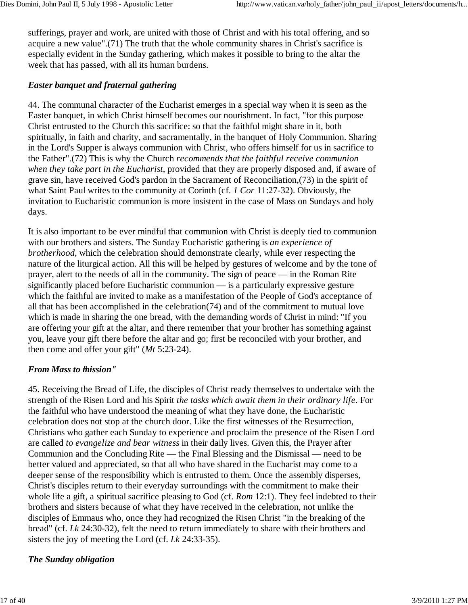sufferings, prayer and work, are united with those of Christ and with his total offering, and so acquire a new value".(71) The truth that the whole community shares in Christ's sacrifice is especially evident in the Sunday gathering, which makes it possible to bring to the altar the week that has passed, with all its human burdens.

## *Easter banquet and fraternal gathering*

44. The communal character of the Eucharist emerges in a special way when it is seen as the Easter banquet, in which Christ himself becomes our nourishment. In fact, "for this purpose Christ entrusted to the Church this sacrifice: so that the faithful might share in it, both spiritually, in faith and charity, and sacramentally, in the banquet of Holy Communion. Sharing in the Lord's Supper is always communion with Christ, who offers himself for us in sacrifice to the Father".(72) This is why the Church *recommends that the faithful receive communion when they take part in the Eucharist*, provided that they are properly disposed and, if aware of grave sin, have received God's pardon in the Sacrament of Reconciliation,(73) in the spirit of what Saint Paul writes to the community at Corinth (cf. *1 Cor* 11:27-32). Obviously, the invitation to Eucharistic communion is more insistent in the case of Mass on Sundays and holy days.

It is also important to be ever mindful that communion with Christ is deeply tied to communion with our brothers and sisters. The Sunday Eucharistic gathering is *an experience of brotherhood*, which the celebration should demonstrate clearly, while ever respecting the nature of the liturgical action. All this will be helped by gestures of welcome and by the tone of prayer, alert to the needs of all in the community. The sign of peace — in the Roman Rite significantly placed before Eucharistic communion — is a particularly expressive gesture which the faithful are invited to make as a manifestation of the People of God's acceptance of all that has been accomplished in the celebration(74) and of the commitment to mutual love which is made in sharing the one bread, with the demanding words of Christ in mind: "If you are offering your gift at the altar, and there remember that your brother has something against you, leave your gift there before the altar and go; first be reconciled with your brother, and then come and offer your gift" (*Mt* 5:23-24).

# *From Mass to thission"*

45. Receiving the Bread of Life, the disciples of Christ ready themselves to undertake with the strength of the Risen Lord and his Spirit *the tasks which await them in their ordinary life*. For the faithful who have understood the meaning of what they have done, the Eucharistic celebration does not stop at the church door. Like the first witnesses of the Resurrection, Christians who gather each Sunday to experience and proclaim the presence of the Risen Lord are called *to evangelize and bear witness* in their daily lives. Given this, the Prayer after Communion and the Concluding Rite — the Final Blessing and the Dismissal — need to be better valued and appreciated, so that all who have shared in the Eucharist may come to a deeper sense of the responsibility which is entrusted to them. Once the assembly disperses, Christ's disciples return to their everyday surroundings with the commitment to make their whole life a gift, a spiritual sacrifice pleasing to God (cf. *Rom* 12:1). They feel indebted to their brothers and sisters because of what they have received in the celebration, not unlike the disciples of Emmaus who, once they had recognized the Risen Christ "in the breaking of the bread" (cf. *Lk* 24:30-32), felt the need to return immediately to share with their brothers and sisters the joy of meeting the Lord (cf. *Lk* 24:33-35).

# *The Sunday obligation*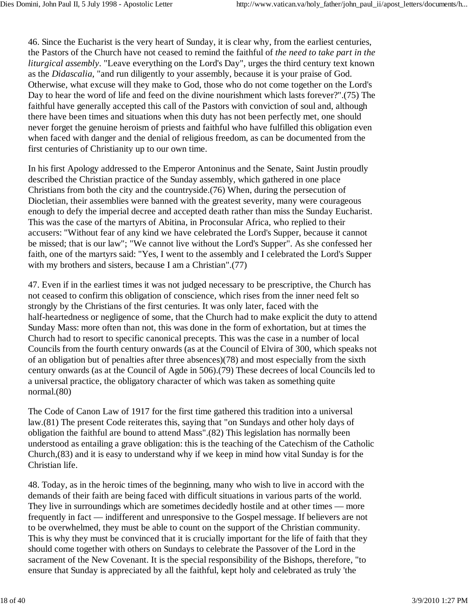46. Since the Eucharist is the very heart of Sunday, it is clear why, from the earliest centuries, the Pastors of the Church have not ceased to remind the faithful of *the need to take part in the liturgical assembly*. "Leave everything on the Lord's Day", urges the third century text known as the *Didascalia*, "and run diligently to your assembly, because it is your praise of God. Otherwise, what excuse will they make to God, those who do not come together on the Lord's Day to hear the word of life and feed on the divine nourishment which lasts forever?".(75) The faithful have generally accepted this call of the Pastors with conviction of soul and, although there have been times and situations when this duty has not been perfectly met, one should never forget the genuine heroism of priests and faithful who have fulfilled this obligation even when faced with danger and the denial of religious freedom, as can be documented from the first centuries of Christianity up to our own time.

In his first Apology addressed to the Emperor Antoninus and the Senate, Saint Justin proudly described the Christian practice of the Sunday assembly, which gathered in one place Christians from both the city and the countryside.(76) When, during the persecution of Diocletian, their assemblies were banned with the greatest severity, many were courageous enough to defy the imperial decree and accepted death rather than miss the Sunday Eucharist. This was the case of the martyrs of Abitina, in Proconsular Africa, who replied to their accusers: "Without fear of any kind we have celebrated the Lord's Supper, because it cannot be missed; that is our law"; "We cannot live without the Lord's Supper". As she confessed her faith, one of the martyrs said: "Yes, I went to the assembly and I celebrated the Lord's Supper with my brothers and sisters, because I am a Christian".(77)

47. Even if in the earliest times it was not judged necessary to be prescriptive, the Church has not ceased to confirm this obligation of conscience, which rises from the inner need felt so strongly by the Christians of the first centuries. It was only later, faced with the half-heartedness or negligence of some, that the Church had to make explicit the duty to attend Sunday Mass: more often than not, this was done in the form of exhortation, but at times the Church had to resort to specific canonical precepts. This was the case in a number of local Councils from the fourth century onwards (as at the Council of Elvira of 300, which speaks not of an obligation but of penalties after three absences)(78) and most especially from the sixth century onwards (as at the Council of Agde in 506).(79) These decrees of local Councils led to a universal practice, the obligatory character of which was taken as something quite normal.(80)

The Code of Canon Law of 1917 for the first time gathered this tradition into a universal law.(81) The present Code reiterates this, saying that "on Sundays and other holy days of obligation the faithful are bound to attend Mass".(82) This legislation has normally been understood as entailing a grave obligation: this is the teaching of the Catechism of the Catholic Church,(83) and it is easy to understand why if we keep in mind how vital Sunday is for the Christian life.

48. Today, as in the heroic times of the beginning, many who wish to live in accord with the demands of their faith are being faced with difficult situations in various parts of the world. They live in surroundings which are sometimes decidedly hostile and at other times — more frequently in fact — indifferent and unresponsive to the Gospel message. If believers are not to be overwhelmed, they must be able to count on the support of the Christian community. This is why they must be convinced that it is crucially important for the life of faith that they should come together with others on Sundays to celebrate the Passover of the Lord in the sacrament of the New Covenant. It is the special responsibility of the Bishops, therefore, "to ensure that Sunday is appreciated by all the faithful, kept holy and celebrated as truly 'the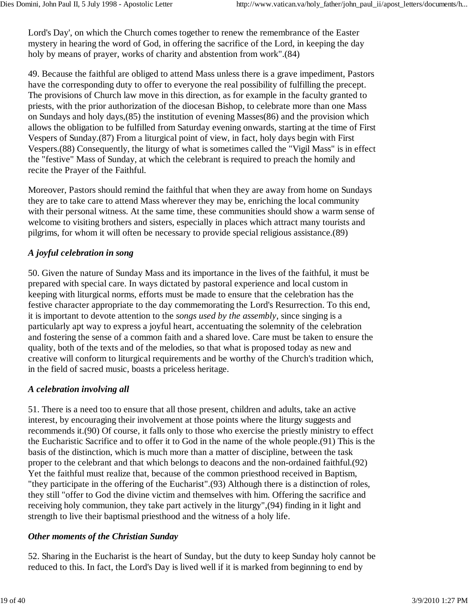Lord's Day', on which the Church comes together to renew the remembrance of the Easter mystery in hearing the word of God, in offering the sacrifice of the Lord, in keeping the day holy by means of prayer, works of charity and abstention from work".(84)

49. Because the faithful are obliged to attend Mass unless there is a grave impediment, Pastors have the corresponding duty to offer to everyone the real possibility of fulfilling the precept. The provisions of Church law move in this direction, as for example in the faculty granted to priests, with the prior authorization of the diocesan Bishop, to celebrate more than one Mass on Sundays and holy days,(85) the institution of evening Masses(86) and the provision which allows the obligation to be fulfilled from Saturday evening onwards, starting at the time of First Vespers of Sunday.(87) From a liturgical point of view, in fact, holy days begin with First Vespers.(88) Consequently, the liturgy of what is sometimes called the "Vigil Mass" is in effect the "festive" Mass of Sunday, at which the celebrant is required to preach the homily and recite the Prayer of the Faithful.

Moreover, Pastors should remind the faithful that when they are away from home on Sundays they are to take care to attend Mass wherever they may be, enriching the local community with their personal witness. At the same time, these communities should show a warm sense of welcome to visiting brothers and sisters, especially in places which attract many tourists and pilgrims, for whom it will often be necessary to provide special religious assistance.(89)

# *A joyful celebration in song*

50. Given the nature of Sunday Mass and its importance in the lives of the faithful, it must be prepared with special care. In ways dictated by pastoral experience and local custom in keeping with liturgical norms, efforts must be made to ensure that the celebration has the festive character appropriate to the day commemorating the Lord's Resurrection. To this end, it is important to devote attention to the *songs used by the assembly*, since singing is a particularly apt way to express a joyful heart, accentuating the solemnity of the celebration and fostering the sense of a common faith and a shared love. Care must be taken to ensure the quality, both of the texts and of the melodies, so that what is proposed today as new and creative will conform to liturgical requirements and be worthy of the Church's tradition which, in the field of sacred music, boasts a priceless heritage.

# *A celebration involving all*

51. There is a need too to ensure that all those present, children and adults, take an active interest, by encouraging their involvement at those points where the liturgy suggests and recommends it.(90) Of course, it falls only to those who exercise the priestly ministry to effect the Eucharistic Sacrifice and to offer it to God in the name of the whole people.(91) This is the basis of the distinction, which is much more than a matter of discipline, between the task proper to the celebrant and that which belongs to deacons and the non-ordained faithful.(92) Yet the faithful must realize that, because of the common priesthood received in Baptism, "they participate in the offering of the Eucharist".(93) Although there is a distinction of roles, they still "offer to God the divine victim and themselves with him. Offering the sacrifice and receiving holy communion, they take part actively in the liturgy",(94) finding in it light and strength to live their baptismal priesthood and the witness of a holy life.

# *Other moments of the Christian Sunday*

52. Sharing in the Eucharist is the heart of Sunday, but the duty to keep Sunday holy cannot be reduced to this. In fact, the Lord's Day is lived well if it is marked from beginning to end by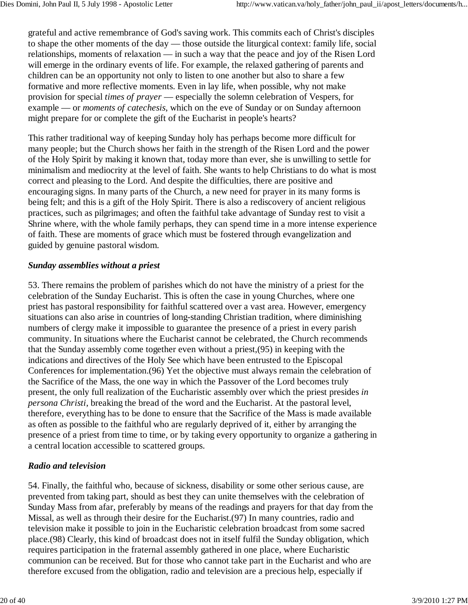grateful and active remembrance of God's saving work. This commits each of Christ's disciples to shape the other moments of the day — those outside the liturgical context: family life, social relationships, moments of relaxation — in such a way that the peace and joy of the Risen Lord will emerge in the ordinary events of life. For example, the relaxed gathering of parents and children can be an opportunity not only to listen to one another but also to share a few formative and more reflective moments. Even in lay life, when possible, why not make provision for special *times of prayer* — especially the solemn celebration of Vespers, for example — or *moments of catechesis*, which on the eve of Sunday or on Sunday afternoon might prepare for or complete the gift of the Eucharist in people's hearts?

This rather traditional way of keeping Sunday holy has perhaps become more difficult for many people; but the Church shows her faith in the strength of the Risen Lord and the power of the Holy Spirit by making it known that, today more than ever, she is unwilling to settle for minimalism and mediocrity at the level of faith. She wants to help Christians to do what is most correct and pleasing to the Lord. And despite the difficulties, there are positive and encouraging signs. In many parts of the Church, a new need for prayer in its many forms is being felt; and this is a gift of the Holy Spirit. There is also a rediscovery of ancient religious practices, such as pilgrimages; and often the faithful take advantage of Sunday rest to visit a Shrine where, with the whole family perhaps, they can spend time in a more intense experience of faith. These are moments of grace which must be fostered through evangelization and guided by genuine pastoral wisdom.

## *Sunday assemblies without a priest*

53. There remains the problem of parishes which do not have the ministry of a priest for the celebration of the Sunday Eucharist. This is often the case in young Churches, where one priest has pastoral responsibility for faithful scattered over a vast area. However, emergency situations can also arise in countries of long-standing Christian tradition, where diminishing numbers of clergy make it impossible to guarantee the presence of a priest in every parish community. In situations where the Eucharist cannot be celebrated, the Church recommends that the Sunday assembly come together even without a priest,(95) in keeping with the indications and directives of the Holy See which have been entrusted to the Episcopal Conferences for implementation.(96) Yet the objective must always remain the celebration of the Sacrifice of the Mass, the one way in which the Passover of the Lord becomes truly present, the only full realization of the Eucharistic assembly over which the priest presides *in persona Christi*, breaking the bread of the word and the Eucharist. At the pastoral level, therefore, everything has to be done to ensure that the Sacrifice of the Mass is made available as often as possible to the faithful who are regularly deprived of it, either by arranging the presence of a priest from time to time, or by taking every opportunity to organize a gathering in a central location accessible to scattered groups.

# *Radio and television*

54. Finally, the faithful who, because of sickness, disability or some other serious cause, are prevented from taking part, should as best they can unite themselves with the celebration of Sunday Mass from afar, preferably by means of the readings and prayers for that day from the Missal, as well as through their desire for the Eucharist.(97) In many countries, radio and television make it possible to join in the Eucharistic celebration broadcast from some sacred place.(98) Clearly, this kind of broadcast does not in itself fulfil the Sunday obligation, which requires participation in the fraternal assembly gathered in one place, where Eucharistic communion can be received. But for those who cannot take part in the Eucharist and who are therefore excused from the obligation, radio and television are a precious help, especially if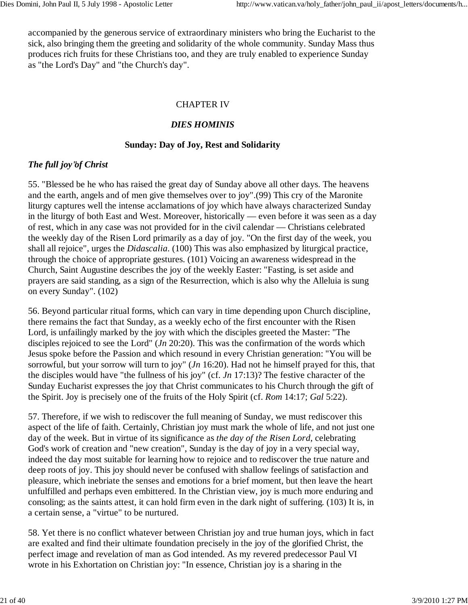accompanied by the generous service of extraordinary ministers who bring the Eucharist to the sick, also bringing them the greeting and solidarity of the whole community. Sunday Mass thus produces rich fruits for these Christians too, and they are truly enabled to experience Sunday as "the Lord's Day" and "the Church's day".

## CHAPTER IV

## *DIES HOMINIS*

## **Sunday: Day of Joy, Rest and Solidarity**

# **The full joy'bf Christ**

55. "Blessed be he who has raised the great day of Sunday above all other days. The heavens and the earth, angels and of men give themselves over to joy".(99) This cry of the Maronite liturgy captures well the intense acclamations of joy which have always characterized Sunday in the liturgy of both East and West. Moreover, historically — even before it was seen as a day of rest, which in any case was not provided for in the civil calendar — Christians celebrated the weekly day of the Risen Lord primarily as a day of joy. "On the first day of the week, you shall all rejoice", urges the *Didascalia*. (100) This was also emphasized by liturgical practice, through the choice of appropriate gestures. (101) Voicing an awareness widespread in the Church, Saint Augustine describes the joy of the weekly Easter: "Fasting, is set aside and prayers are said standing, as a sign of the Resurrection, which is also why the Alleluia is sung on every Sunday". (102)

56. Beyond particular ritual forms, which can vary in time depending upon Church discipline, there remains the fact that Sunday, as a weekly echo of the first encounter with the Risen Lord, is unfailingly marked by the joy with which the disciples greeted the Master: "The disciples rejoiced to see the Lord" (*Jn* 20:20). This was the confirmation of the words which Jesus spoke before the Passion and which resound in every Christian generation: "You will be sorrowful, but your sorrow will turn to joy" (*Jn* 16:20). Had not he himself prayed for this, that the disciples would have "the fullness of his joy" (cf. *Jn* 17:13)? The festive character of the Sunday Eucharist expresses the joy that Christ communicates to his Church through the gift of the Spirit. Joy is precisely one of the fruits of the Holy Spirit (cf. *Rom* 14:17; *Gal* 5:22).

57. Therefore, if we wish to rediscover the full meaning of Sunday, we must rediscover this aspect of the life of faith. Certainly, Christian joy must mark the whole of life, and not just one day of the week. But in virtue of its significance as *the day of the Risen Lord*, celebrating God's work of creation and "new creation", Sunday is the day of joy in a very special way, indeed the day most suitable for learning how to rejoice and to rediscover the true nature and deep roots of joy. This joy should never be confused with shallow feelings of satisfaction and pleasure, which inebriate the senses and emotions for a brief moment, but then leave the heart unfulfilled and perhaps even embittered. In the Christian view, joy is much more enduring and consoling; as the saints attest, it can hold firm even in the dark night of suffering. (103) It is, in a certain sense, a "virtue" to be nurtured.

58. Yet there is no conflict whatever between Christian joy and true human joys, which in fact are exalted and find their ultimate foundation precisely in the joy of the glorified Christ, the perfect image and revelation of man as God intended. As my revered predecessor Paul VI wrote in his Exhortation on Christian joy: "In essence, Christian joy is a sharing in the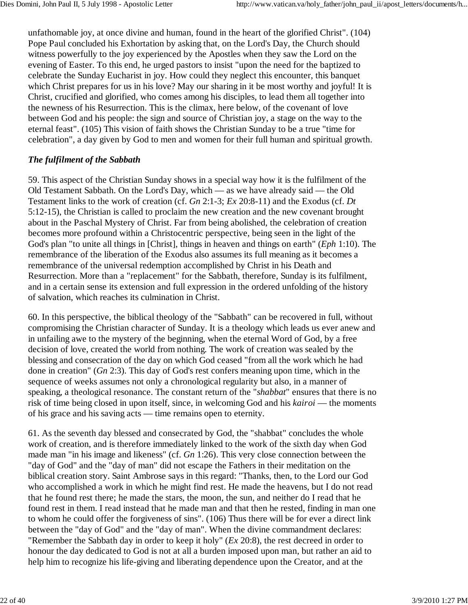unfathomable joy, at once divine and human, found in the heart of the glorified Christ". (104) Pope Paul concluded his Exhortation by asking that, on the Lord's Day, the Church should witness powerfully to the joy experienced by the Apostles when they saw the Lord on the evening of Easter. To this end, he urged pastors to insist "upon the need for the baptized to celebrate the Sunday Eucharist in joy. How could they neglect this encounter, this banquet which Christ prepares for us in his love? May our sharing in it be most worthy and joyful! It is Christ, crucified and glorified, who comes among his disciples, to lead them all together into the newness of his Resurrection. This is the climax, here below, of the covenant of love between God and his people: the sign and source of Christian joy, a stage on the way to the eternal feast". (105) This vision of faith shows the Christian Sunday to be a true "time for celebration", a day given by God to men and women for their full human and spiritual growth.

## *The fulfilment of the Sabbath*

59. This aspect of the Christian Sunday shows in a special way how it is the fulfilment of the Old Testament Sabbath. On the Lord's Day, which — as we have already said — the Old Testament links to the work of creation (cf. *Gn* 2:1-3; *Ex* 20:8-11) and the Exodus (cf. *Dt* 5:12-15), the Christian is called to proclaim the new creation and the new covenant brought about in the Paschal Mystery of Christ. Far from being abolished, the celebration of creation becomes more profound within a Christocentric perspective, being seen in the light of the God's plan "to unite all things in [Christ], things in heaven and things on earth" (*Eph* 1:10). The remembrance of the liberation of the Exodus also assumes its full meaning as it becomes a remembrance of the universal redemption accomplished by Christ in his Death and Resurrection. More than a "replacement" for the Sabbath, therefore, Sunday is its fulfilment, and in a certain sense its extension and full expression in the ordered unfolding of the history of salvation, which reaches its culmination in Christ.

60. In this perspective, the biblical theology of the "Sabbath" can be recovered in full, without compromising the Christian character of Sunday. It is a theology which leads us ever anew and in unfailing awe to the mystery of the beginning, when the eternal Word of God, by a free decision of love, created the world from nothing. The work of creation was sealed by the blessing and consecration of the day on which God ceased "from all the work which he had done in creation" (*Gn* 2:3). This day of God's rest confers meaning upon time, which in the sequence of weeks assumes not only a chronological regularity but also, in a manner of speaking, a theological resonance. The constant return of the "*shabbat*" ensures that there is no risk of time being closed in upon itself, since, in welcoming God and his *kairoi* — the moments of his grace and his saving acts — time remains open to eternity.

61. As the seventh day blessed and consecrated by God, the "shabbat" concludes the whole work of creation, and is therefore immediately linked to the work of the sixth day when God made man "in his image and likeness" (cf. *Gn* 1:26). This very close connection between the "day of God" and the "day of man" did not escape the Fathers in their meditation on the biblical creation story. Saint Ambrose says in this regard: "Thanks, then, to the Lord our God who accomplished a work in which he might find rest. He made the heavens, but I do not read that he found rest there; he made the stars, the moon, the sun, and neither do I read that he found rest in them. I read instead that he made man and that then he rested, finding in man one to whom he could offer the forgiveness of sins". (106) Thus there will be for ever a direct link between the "day of God" and the "day of man". When the divine commandment declares: "Remember the Sabbath day in order to keep it holy" (*Ex* 20:8), the rest decreed in order to honour the day dedicated to God is not at all a burden imposed upon man, but rather an aid to help him to recognize his life-giving and liberating dependence upon the Creator, and at the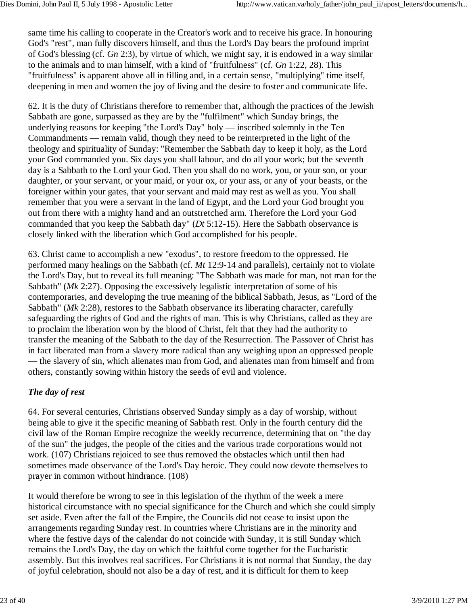same time his calling to cooperate in the Creator's work and to receive his grace. In honouring God's "rest", man fully discovers himself, and thus the Lord's Day bears the profound imprint of God's blessing (cf. *Gn* 2:3), by virtue of which, we might say, it is endowed in a way similar to the animals and to man himself, with a kind of "fruitfulness" (cf. *Gn* 1:22, 28). This "fruitfulness" is apparent above all in filling and, in a certain sense, "multiplying" time itself, deepening in men and women the joy of living and the desire to foster and communicate life.

62. It is the duty of Christians therefore to remember that, although the practices of the Jewish Sabbath are gone, surpassed as they are by the "fulfilment" which Sunday brings, the underlying reasons for keeping "the Lord's Day" holy — inscribed solemnly in the Ten Commandments — remain valid, though they need to be reinterpreted in the light of the theology and spirituality of Sunday: "Remember the Sabbath day to keep it holy, as the Lord your God commanded you. Six days you shall labour, and do all your work; but the seventh day is a Sabbath to the Lord your God. Then you shall do no work, you, or your son, or your daughter, or your servant, or your maid, or your ox, or your ass, or any of your beasts, or the foreigner within your gates, that your servant and maid may rest as well as you. You shall remember that you were a servant in the land of Egypt, and the Lord your God brought you out from there with a mighty hand and an outstretched arm. Therefore the Lord your God commanded that you keep the Sabbath day" (*Dt* 5:12-15). Here the Sabbath observance is closely linked with the liberation which God accomplished for his people.

63. Christ came to accomplish a new "exodus", to restore freedom to the oppressed. He performed many healings on the Sabbath (cf. *Mt* 12:9-14 and parallels), certainly not to violate the Lord's Day, but to reveal its full meaning: "The Sabbath was made for man, not man for the Sabbath" (*Mk* 2:27). Opposing the excessively legalistic interpretation of some of his contemporaries, and developing the true meaning of the biblical Sabbath, Jesus, as "Lord of the Sabbath" (*Mk* 2:28), restores to the Sabbath observance its liberating character, carefully safeguarding the rights of God and the rights of man. This is why Christians, called as they are to proclaim the liberation won by the blood of Christ, felt that they had the authority to transfer the meaning of the Sabbath to the day of the Resurrection. The Passover of Christ has in fact liberated man from a slavery more radical than any weighing upon an oppressed people — the slavery of sin, which alienates man from God, and alienates man from himself and from others, constantly sowing within history the seeds of evil and violence.

# *The day of rest*

64. For several centuries, Christians observed Sunday simply as a day of worship, without being able to give it the specific meaning of Sabbath rest. Only in the fourth century did the civil law of the Roman Empire recognize the weekly recurrence, determining that on "the day of the sun" the judges, the people of the cities and the various trade corporations would not work. (107) Christians rejoiced to see thus removed the obstacles which until then had sometimes made observance of the Lord's Day heroic. They could now devote themselves to prayer in common without hindrance. (108)

It would therefore be wrong to see in this legislation of the rhythm of the week a mere historical circumstance with no special significance for the Church and which she could simply set aside. Even after the fall of the Empire, the Councils did not cease to insist upon the arrangements regarding Sunday rest. In countries where Christians are in the minority and where the festive days of the calendar do not coincide with Sunday, it is still Sunday which remains the Lord's Day, the day on which the faithful come together for the Eucharistic assembly. But this involves real sacrifices. For Christians it is not normal that Sunday, the day of joyful celebration, should not also be a day of rest, and it is difficult for them to keep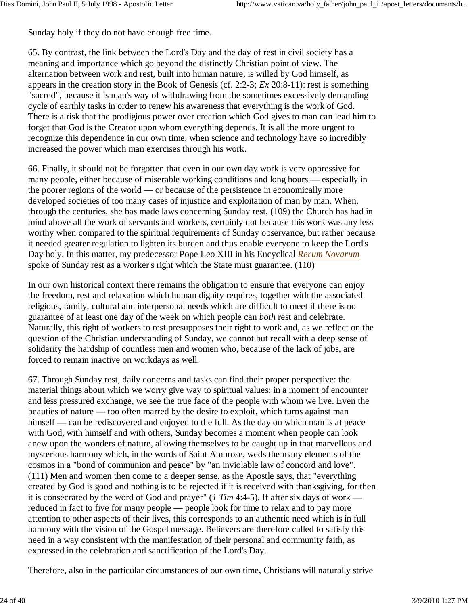Sunday holy if they do not have enough free time.

65. By contrast, the link between the Lord's Day and the day of rest in civil society has a meaning and importance which go beyond the distinctly Christian point of view. The alternation between work and rest, built into human nature, is willed by God himself, as appears in the creation story in the Book of Genesis (cf. 2:2-3; *Ex* 20:8-11): rest is something "sacred", because it is man's way of withdrawing from the sometimes excessively demanding cycle of earthly tasks in order to renew his awareness that everything is the work of God. There is a risk that the prodigious power over creation which God gives to man can lead him to forget that God is the Creator upon whom everything depends. It is all the more urgent to recognize this dependence in our own time, when science and technology have so incredibly increased the power which man exercises through his work.

66. Finally, it should not be forgotten that even in our own day work is very oppressive for many people, either because of miserable working conditions and long hours — especially in the poorer regions of the world — or because of the persistence in economically more developed societies of too many cases of injustice and exploitation of man by man. When, through the centuries, she has made laws concerning Sunday rest, (109) the Church has had in mind above all the work of servants and workers, certainly not because this work was any less worthy when compared to the spiritual requirements of Sunday observance, but rather because it needed greater regulation to lighten its burden and thus enable everyone to keep the Lord's Day holy. In this matter, my predecessor Pope Leo XIII in his Encyclical *Rerum Novarum* spoke of Sunday rest as a worker's right which the State must guarantee. (110)

In our own historical context there remains the obligation to ensure that everyone can enjoy the freedom, rest and relaxation which human dignity requires, together with the associated religious, family, cultural and interpersonal needs which are difficult to meet if there is no guarantee of at least one day of the week on which people can *both* rest and celebrate. Naturally, this right of workers to rest presupposes their right to work and, as we reflect on the question of the Christian understanding of Sunday, we cannot but recall with a deep sense of solidarity the hardship of countless men and women who, because of the lack of jobs, are forced to remain inactive on workdays as well.

67. Through Sunday rest, daily concerns and tasks can find their proper perspective: the material things about which we worry give way to spiritual values; in a moment of encounter and less pressured exchange, we see the true face of the people with whom we live. Even the beauties of nature — too often marred by the desire to exploit, which turns against man himself — can be rediscovered and enjoyed to the full. As the day on which man is at peace with God, with himself and with others, Sunday becomes a moment when people can look anew upon the wonders of nature, allowing themselves to be caught up in that marvellous and mysterious harmony which, in the words of Saint Ambrose, weds the many elements of the cosmos in a "bond of communion and peace" by "an inviolable law of concord and love". (111) Men and women then come to a deeper sense, as the Apostle says, that "everything created by God is good and nothing is to be rejected if it is received with thanksgiving, for then it is consecrated by the word of God and prayer" (*1 Tim* 4:4-5). If after six days of work reduced in fact to five for many people — people look for time to relax and to pay more attention to other aspects of their lives, this corresponds to an authentic need which is in full harmony with the vision of the Gospel message. Believers are therefore called to satisfy this need in a way consistent with the manifestation of their personal and community faith, as expressed in the celebration and sanctification of the Lord's Day.

Therefore, also in the particular circumstances of our own time, Christians will naturally strive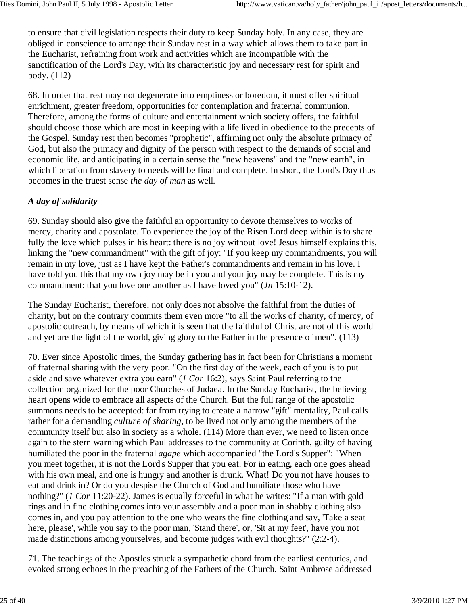to ensure that civil legislation respects their duty to keep Sunday holy. In any case, they are obliged in conscience to arrange their Sunday rest in a way which allows them to take part in the Eucharist, refraining from work and activities which are incompatible with the sanctification of the Lord's Day, with its characteristic joy and necessary rest for spirit and body. (112)

68. In order that rest may not degenerate into emptiness or boredom, it must offer spiritual enrichment, greater freedom, opportunities for contemplation and fraternal communion. Therefore, among the forms of culture and entertainment which society offers, the faithful should choose those which are most in keeping with a life lived in obedience to the precepts of the Gospel. Sunday rest then becomes "prophetic", affirming not only the absolute primacy of God, but also the primacy and dignity of the person with respect to the demands of social and economic life, and anticipating in a certain sense the "new heavens" and the "new earth", in which liberation from slavery to needs will be final and complete. In short, the Lord's Day thus becomes in the truest sense *the day of man* as well.

## *A day of solidarity*

69. Sunday should also give the faithful an opportunity to devote themselves to works of mercy, charity and apostolate. To experience the joy of the Risen Lord deep within is to share fully the love which pulses in his heart: there is no joy without love! Jesus himself explains this, linking the "new commandment" with the gift of joy: "If you keep my commandments, you will remain in my love, just as I have kept the Father's commandments and remain in his love. I have told you this that my own joy may be in you and your joy may be complete. This is my commandment: that you love one another as I have loved you" (*Jn* 15:10-12).

The Sunday Eucharist, therefore, not only does not absolve the faithful from the duties of charity, but on the contrary commits them even more "to all the works of charity, of mercy, of apostolic outreach, by means of which it is seen that the faithful of Christ are not of this world and yet are the light of the world, giving glory to the Father in the presence of men". (113)

70. Ever since Apostolic times, the Sunday gathering has in fact been for Christians a moment of fraternal sharing with the very poor. "On the first day of the week, each of you is to put aside and save whatever extra you earn" (*1 Cor* 16:2), says Saint Paul referring to the collection organized for the poor Churches of Judaea. In the Sunday Eucharist, the believing heart opens wide to embrace all aspects of the Church. But the full range of the apostolic summons needs to be accepted: far from trying to create a narrow "gift" mentality, Paul calls rather for a demanding *culture of sharing*, to be lived not only among the members of the community itself but also in society as a whole. (114) More than ever, we need to listen once again to the stern warning which Paul addresses to the community at Corinth, guilty of having humiliated the poor in the fraternal *agape* which accompanied "the Lord's Supper": "When you meet together, it is not the Lord's Supper that you eat. For in eating, each one goes ahead with his own meal, and one is hungry and another is drunk. What! Do you not have houses to eat and drink in? Or do you despise the Church of God and humiliate those who have nothing?" (*1 Cor* 11:20-22). James is equally forceful in what he writes: "If a man with gold rings and in fine clothing comes into your assembly and a poor man in shabby clothing also comes in, and you pay attention to the one who wears the fine clothing and say, 'Take a seat here, please', while you say to the poor man, 'Stand there', or, 'Sit at my feet', have you not made distinctions among yourselves, and become judges with evil thoughts?" (2:2-4).

71. The teachings of the Apostles struck a sympathetic chord from the earliest centuries, and evoked strong echoes in the preaching of the Fathers of the Church. Saint Ambrose addressed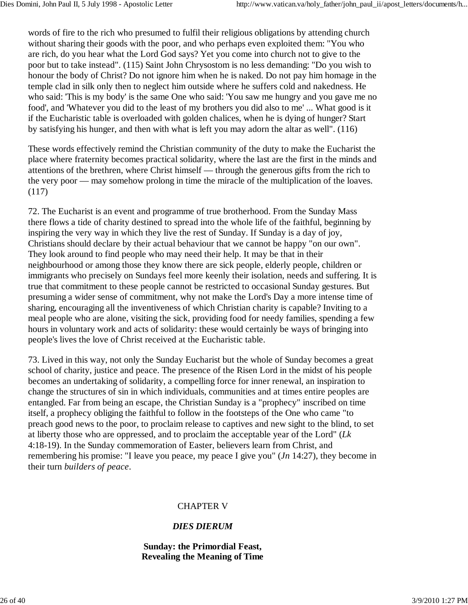words of fire to the rich who presumed to fulfil their religious obligations by attending church without sharing their goods with the poor, and who perhaps even exploited them: "You who are rich, do you hear what the Lord God says? Yet you come into church not to give to the poor but to take instead". (115) Saint John Chrysostom is no less demanding: "Do you wish to honour the body of Christ? Do not ignore him when he is naked. Do not pay him homage in the temple clad in silk only then to neglect him outside where he suffers cold and nakedness. He who said: 'This is my body' is the same One who said: 'You saw me hungry and you gave me no food', and 'Whatever you did to the least of my brothers you did also to me' ... What good is it if the Eucharistic table is overloaded with golden chalices, when he is dying of hunger? Start by satisfying his hunger, and then with what is left you may adorn the altar as well". (116)

These words effectively remind the Christian community of the duty to make the Eucharist the place where fraternity becomes practical solidarity, where the last are the first in the minds and attentions of the brethren, where Christ himself — through the generous gifts from the rich to the very poor — may somehow prolong in time the miracle of the multiplication of the loaves. (117)

72. The Eucharist is an event and programme of true brotherhood. From the Sunday Mass there flows a tide of charity destined to spread into the whole life of the faithful, beginning by inspiring the very way in which they live the rest of Sunday. If Sunday is a day of joy, Christians should declare by their actual behaviour that we cannot be happy "on our own". They look around to find people who may need their help. It may be that in their neighbourhood or among those they know there are sick people, elderly people, children or immigrants who precisely on Sundays feel more keenly their isolation, needs and suffering. It is true that commitment to these people cannot be restricted to occasional Sunday gestures. But presuming a wider sense of commitment, why not make the Lord's Day a more intense time of sharing, encouraging all the inventiveness of which Christian charity is capable? Inviting to a meal people who are alone, visiting the sick, providing food for needy families, spending a few hours in voluntary work and acts of solidarity: these would certainly be ways of bringing into people's lives the love of Christ received at the Eucharistic table.

73. Lived in this way, not only the Sunday Eucharist but the whole of Sunday becomes a great school of charity, justice and peace. The presence of the Risen Lord in the midst of his people becomes an undertaking of solidarity, a compelling force for inner renewal, an inspiration to change the structures of sin in which individuals, communities and at times entire peoples are entangled. Far from being an escape, the Christian Sunday is a "prophecy" inscribed on time itself, a prophecy obliging the faithful to follow in the footsteps of the One who came "to preach good news to the poor, to proclaim release to captives and new sight to the blind, to set at liberty those who are oppressed, and to proclaim the acceptable year of the Lord" (*Lk* 4:18-19). In the Sunday commemoration of Easter, believers learn from Christ, and remembering his promise: "I leave you peace, my peace I give you" (*Jn* 14:27), they become in their turn *builders of peace*.

## CHAPTER V

## *DIES DIERUM*

**Sunday: the Primordial Feast, Revealing the Meaning of Time**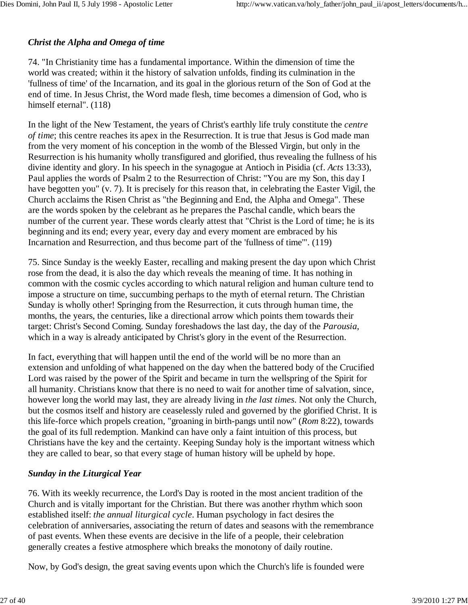# *Christ the Alpha and Omega of time*

74. "In Christianity time has a fundamental importance. Within the dimension of time the world was created; within it the history of salvation unfolds, finding its culmination in the 'fullness of time' of the Incarnation, and its goal in the glorious return of the Son of God at the end of time. In Jesus Christ, the Word made flesh, time becomes a dimension of God, who is himself eternal". (118)

In the light of the New Testament, the years of Christ's earthly life truly constitute the *centre of time*; this centre reaches its apex in the Resurrection. It is true that Jesus is God made man from the very moment of his conception in the womb of the Blessed Virgin, but only in the Resurrection is his humanity wholly transfigured and glorified, thus revealing the fullness of his divine identity and glory. In his speech in the synagogue at Antioch in Pisidia (cf. *Acts* 13:33), Paul applies the words of Psalm 2 to the Resurrection of Christ: "You are my Son, this day I have begotten you" (v. 7). It is precisely for this reason that, in celebrating the Easter Vigil, the Church acclaims the Risen Christ as "the Beginning and End, the Alpha and Omega". These are the words spoken by the celebrant as he prepares the Paschal candle, which bears the number of the current year. These words clearly attest that "Christ is the Lord of time; he is its beginning and its end; every year, every day and every moment are embraced by his Incarnation and Resurrection, and thus become part of the 'fullness of time'". (119)

75. Since Sunday is the weekly Easter, recalling and making present the day upon which Christ rose from the dead, it is also the day which reveals the meaning of time. It has nothing in common with the cosmic cycles according to which natural religion and human culture tend to impose a structure on time, succumbing perhaps to the myth of eternal return. The Christian Sunday is wholly other! Springing from the Resurrection, it cuts through human time, the months, the years, the centuries, like a directional arrow which points them towards their target: Christ's Second Coming. Sunday foreshadows the last day, the day of the *Parousia*, which in a way is already anticipated by Christ's glory in the event of the Resurrection.

In fact, everything that will happen until the end of the world will be no more than an extension and unfolding of what happened on the day when the battered body of the Crucified Lord was raised by the power of the Spirit and became in turn the wellspring of the Spirit for all humanity. Christians know that there is no need to wait for another time of salvation, since, however long the world may last, they are already living in *the last times*. Not only the Church, but the cosmos itself and history are ceaselessly ruled and governed by the glorified Christ. It is this life-force which propels creation, "groaning in birth-pangs until now" (*Rom* 8:22), towards the goal of its full redemption. Mankind can have only a faint intuition of this process, but Christians have the key and the certainty. Keeping Sunday holy is the important witness which they are called to bear, so that every stage of human history will be upheld by hope.

#### *Sunday in the Liturgical Year*

76. With its weekly recurrence, the Lord's Day is rooted in the most ancient tradition of the Church and is vitally important for the Christian. But there was another rhythm which soon established itself: *the annual liturgical cycle*. Human psychology in fact desires the celebration of anniversaries, associating the return of dates and seasons with the remembrance of past events. When these events are decisive in the life of a people, their celebration generally creates a festive atmosphere which breaks the monotony of daily routine.

Now, by God's design, the great saving events upon which the Church's life is founded were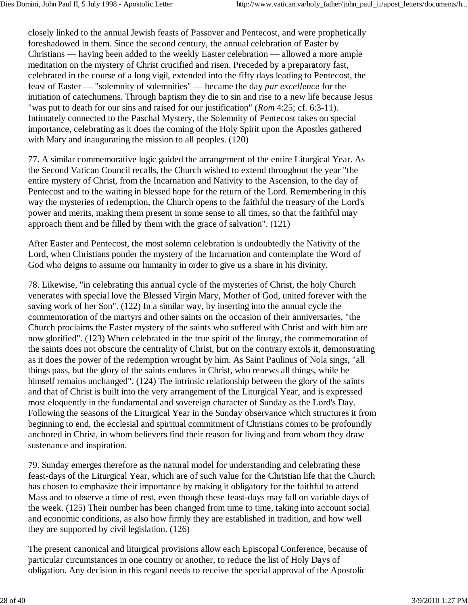closely linked to the annual Jewish feasts of Passover and Pentecost, and were prophetically foreshadowed in them. Since the second century, the annual celebration of Easter by Christians — having been added to the weekly Easter celebration — allowed a more ample meditation on the mystery of Christ crucified and risen. Preceded by a preparatory fast, celebrated in the course of a long vigil, extended into the fifty days leading to Pentecost, the feast of Easter — "solemnity of solemnities" — became the day *par excellence* for the initiation of catechumens. Through baptism they die to sin and rise to a new life because Jesus "was put to death for our sins and raised for our justification" (*Rom* 4:25; cf. 6:3-11). Intimately connected to the Paschal Mystery, the Solemnity of Pentecost takes on special importance, celebrating as it does the coming of the Holy Spirit upon the Apostles gathered with Mary and inaugurating the mission to all peoples. (120)

77. A similar commemorative logic guided the arrangement of the entire Liturgical Year. As the Second Vatican Council recalls, the Church wished to extend throughout the year "the entire mystery of Christ, from the Incarnation and Nativity to the Ascension, to the day of Pentecost and to the waiting in blessed hope for the return of the Lord. Remembering in this way the mysteries of redemption, the Church opens to the faithful the treasury of the Lord's power and merits, making them present in some sense to all times, so that the faithful may approach them and be filled by them with the grace of salvation". (121)

After Easter and Pentecost, the most solemn celebration is undoubtedly the Nativity of the Lord, when Christians ponder the mystery of the Incarnation and contemplate the Word of God who deigns to assume our humanity in order to give us a share in his divinity.

78. Likewise, "in celebrating this annual cycle of the mysteries of Christ, the holy Church venerates with special love the Blessed Virgin Mary, Mother of God, united forever with the saving work of her Son". (122) In a similar way, by inserting into the annual cycle the commemoration of the martyrs and other saints on the occasion of their anniversaries, "the Church proclaims the Easter mystery of the saints who suffered with Christ and with him are now glorified". (123) When celebrated in the true spirit of the liturgy, the commemoration of the saints does not obscure the centrality of Christ, but on the contrary extols it, demonstrating as it does the power of the redemption wrought by him. As Saint Paulinus of Nola sings, "all things pass, but the glory of the saints endures in Christ, who renews all things, while he himself remains unchanged". (124) The intrinsic relationship between the glory of the saints and that of Christ is built into the very arrangement of the Liturgical Year, and is expressed most eloquently in the fundamental and sovereign character of Sunday as the Lord's Day. Following the seasons of the Liturgical Year in the Sunday observance which structures it from beginning to end, the ecclesial and spiritual commitment of Christians comes to be profoundly anchored in Christ, in whom believers find their reason for living and from whom they draw sustenance and inspiration.

79. Sunday emerges therefore as the natural model for understanding and celebrating these feast-days of the Liturgical Year, which are of such value for the Christian life that the Church has chosen to emphasize their importance by making it obligatory for the faithful to attend Mass and to observe a time of rest, even though these feast-days may fall on variable days of the week. (125) Their number has been changed from time to time, taking into account social and economic conditions, as also how firmly they are established in tradition, and how well they are supported by civil legislation. (126)

The present canonical and liturgical provisions allow each Episcopal Conference, because of particular circumstances in one country or another, to reduce the list of Holy Days of obligation. Any decision in this regard needs to receive the special approval of the Apostolic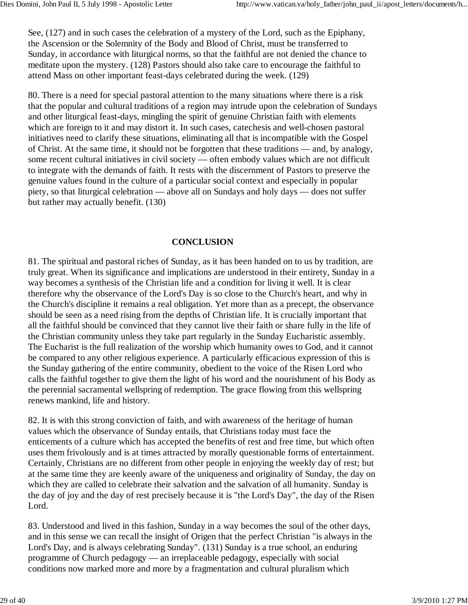See, (127) and in such cases the celebration of a mystery of the Lord, such as the Epiphany, the Ascension or the Solemnity of the Body and Blood of Christ, must be transferred to Sunday, in accordance with liturgical norms, so that the faithful are not denied the chance to meditate upon the mystery. (128) Pastors should also take care to encourage the faithful to attend Mass on other important feast-days celebrated during the week. (129)

80. There is a need for special pastoral attention to the many situations where there is a risk that the popular and cultural traditions of a region may intrude upon the celebration of Sundays and other liturgical feast-days, mingling the spirit of genuine Christian faith with elements which are foreign to it and may distort it. In such cases, catechesis and well-chosen pastoral initiatives need to clarify these situations, eliminating all that is incompatible with the Gospel of Christ. At the same time, it should not be forgotten that these traditions — and, by analogy, some recent cultural initiatives in civil society — often embody values which are not difficult to integrate with the demands of faith. It rests with the discernment of Pastors to preserve the genuine values found in the culture of a particular social context and especially in popular piety, so that liturgical celebration — above all on Sundays and holy days — does not suffer but rather may actually benefit. (130)

## **CONCLUSION**

81. The spiritual and pastoral riches of Sunday, as it has been handed on to us by tradition, are truly great. When its significance and implications are understood in their entirety, Sunday in a way becomes a synthesis of the Christian life and a condition for living it well. It is clear therefore why the observance of the Lord's Day is so close to the Church's heart, and why in the Church's discipline it remains a real obligation. Yet more than as a precept, the observance should be seen as a need rising from the depths of Christian life. It is crucially important that all the faithful should be convinced that they cannot live their faith or share fully in the life of the Christian community unless they take part regularly in the Sunday Eucharistic assembly. The Eucharist is the full realization of the worship which humanity owes to God, and it cannot be compared to any other religious experience. A particularly efficacious expression of this is the Sunday gathering of the entire community, obedient to the voice of the Risen Lord who calls the faithful together to give them the light of his word and the nourishment of his Body as the perennial sacramental wellspring of redemption. The grace flowing from this wellspring renews mankind, life and history.

82. It is with this strong conviction of faith, and with awareness of the heritage of human values which the observance of Sunday entails, that Christians today must face the enticements of a culture which has accepted the benefits of rest and free time, but which often uses them frivolously and is at times attracted by morally questionable forms of entertainment. Certainly, Christians are no different from other people in enjoying the weekly day of rest; but at the same time they are keenly aware of the uniqueness and originality of Sunday, the day on which they are called to celebrate their salvation and the salvation of all humanity. Sunday is the day of joy and the day of rest precisely because it is "the Lord's Day", the day of the Risen Lord.

83. Understood and lived in this fashion, Sunday in a way becomes the soul of the other days, and in this sense we can recall the insight of Origen that the perfect Christian "is always in the Lord's Day, and is always celebrating Sunday". (131) Sunday is a true school, an enduring programme of Church pedagogy — an irreplaceable pedagogy, especially with social conditions now marked more and more by a fragmentation and cultural pluralism which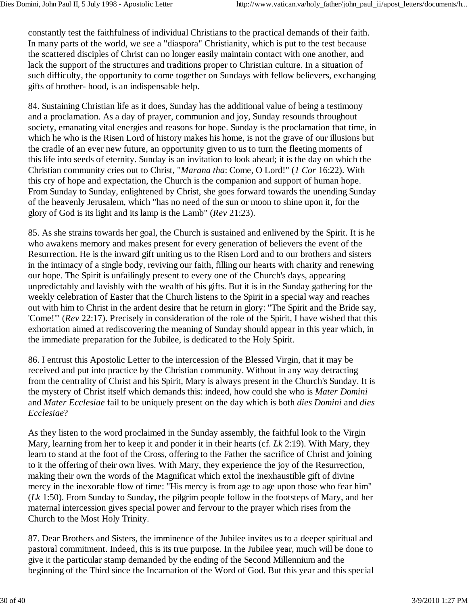constantly test the faithfulness of individual Christians to the practical demands of their faith. In many parts of the world, we see a "diaspora" Christianity, which is put to the test because the scattered disciples of Christ can no longer easily maintain contact with one another, and lack the support of the structures and traditions proper to Christian culture. In a situation of such difficulty, the opportunity to come together on Sundays with fellow believers, exchanging gifts of brother- hood, is an indispensable help.

84. Sustaining Christian life as it does, Sunday has the additional value of being a testimony and a proclamation. As a day of prayer, communion and joy, Sunday resounds throughout society, emanating vital energies and reasons for hope. Sunday is the proclamation that time, in which he who is the Risen Lord of history makes his home, is not the grave of our illusions but the cradle of an ever new future, an opportunity given to us to turn the fleeting moments of this life into seeds of eternity. Sunday is an invitation to look ahead; it is the day on which the Christian community cries out to Christ, "*Marana tha*: Come, O Lord!" (*1 Cor* 16:22). With this cry of hope and expectation, the Church is the companion and support of human hope. From Sunday to Sunday, enlightened by Christ, she goes forward towards the unending Sunday of the heavenly Jerusalem, which "has no need of the sun or moon to shine upon it, for the glory of God is its light and its lamp is the Lamb" (*Rev* 21:23).

85. As she strains towards her goal, the Church is sustained and enlivened by the Spirit. It is he who awakens memory and makes present for every generation of believers the event of the Resurrection. He is the inward gift uniting us to the Risen Lord and to our brothers and sisters in the intimacy of a single body, reviving our faith, filling our hearts with charity and renewing our hope. The Spirit is unfailingly present to every one of the Church's days, appearing unpredictably and lavishly with the wealth of his gifts. But it is in the Sunday gathering for the weekly celebration of Easter that the Church listens to the Spirit in a special way and reaches out with him to Christ in the ardent desire that he return in glory: "The Spirit and the Bride say, 'Come!'" (*Rev* 22:17). Precisely in consideration of the role of the Spirit, I have wished that this exhortation aimed at rediscovering the meaning of Sunday should appear in this year which, in the immediate preparation for the Jubilee, is dedicated to the Holy Spirit.

86. I entrust this Apostolic Letter to the intercession of the Blessed Virgin, that it may be received and put into practice by the Christian community. Without in any way detracting from the centrality of Christ and his Spirit, Mary is always present in the Church's Sunday. It is the mystery of Christ itself which demands this: indeed, how could she who is *Mater Domini* and *Mater Ecclesiae* fail to be uniquely present on the day which is both *dies Domini* and *dies Ecclesiae*?

As they listen to the word proclaimed in the Sunday assembly, the faithful look to the Virgin Mary, learning from her to keep it and ponder it in their hearts (cf. *Lk* 2:19). With Mary, they learn to stand at the foot of the Cross, offering to the Father the sacrifice of Christ and joining to it the offering of their own lives. With Mary, they experience the joy of the Resurrection, making their own the words of the Magnificat which extol the inexhaustible gift of divine mercy in the inexorable flow of time: "His mercy is from age to age upon those who fear him" (*Lk* 1:50). From Sunday to Sunday, the pilgrim people follow in the footsteps of Mary, and her maternal intercession gives special power and fervour to the prayer which rises from the Church to the Most Holy Trinity.

87. Dear Brothers and Sisters, the imminence of the Jubilee invites us to a deeper spiritual and pastoral commitment. Indeed, this is its true purpose. In the Jubilee year, much will be done to give it the particular stamp demanded by the ending of the Second Millennium and the beginning of the Third since the Incarnation of the Word of God. But this year and this special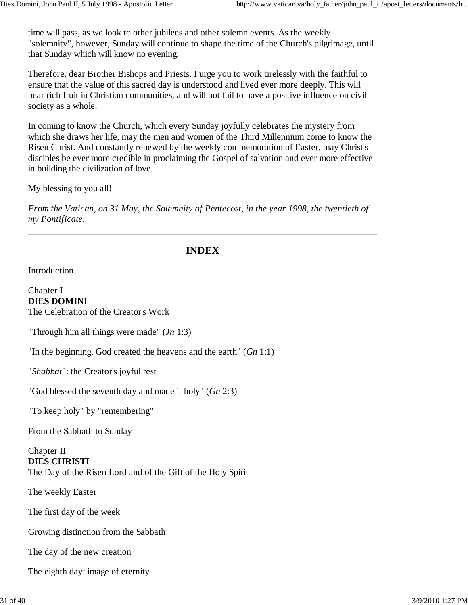time will pass, as we look to other jubilees and other solemn events. As the weekly "solemnity", however, Sunday will continue to shape the time of the Church's pilgrimage, until that Sunday which will know no evening.

Therefore, dear Brother Bishops and Priests, I urge you to work tirelessly with the faithful to ensure that the value of this sacred day is understood and lived ever more deeply. This will bear rich fruit in Christian communities, and will not fail to have a positive influence on civil society as a whole.

In coming to know the Church, which every Sunday joyfully celebrates the mystery from which she draws her life, may the men and women of the Third Millennium come to know the Risen Christ. And constantly renewed by the weekly commemoration of Easter, may Christ's disciples be ever more credible in proclaiming the Gospel of salvation and ever more effective in building the civilization of love.

My blessing to you all!

*From the Vatican, on 31 May, the Solemnity of Pentecost, in the year 1998, the twentieth of my Pontificate.*

# **INDEX**

Introduction

Chapter I **DIES DOMINI** The Celebration of the Creator's Work

"Through him all things were made" (*Jn* 1:3)

"In the beginning, God created the heavens and the earth" (*Gn* 1:1)

"*Shabbat*": the Creator's joyful rest

"God blessed the seventh day and made it holy" (*Gn* 2:3)

"To keep holy" by "remembering"

From the Sabbath to Sunday

#### Chapter II **DIES CHRISTI**

The Day of the Risen Lord and of the Gift of the Holy Spirit

The weekly Easter

The first day of the week

Growing distinction from the Sabbath

The day of the new creation

The eighth day: image of eternity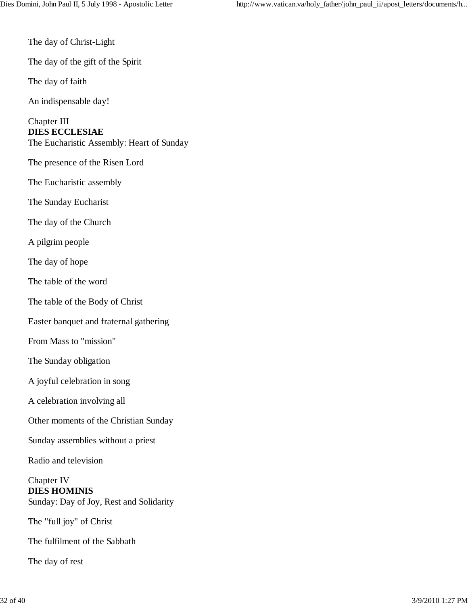The day of Christ-Light

The day of the gift of the Spirit

The day of faith

An indispensable day!

#### Chapter III **DIES ECCLESIAE**

The Eucharistic Assembly: Heart of Sunday

The presence of the Risen Lord

The Eucharistic assembly

The Sunday Eucharist

The day of the Church

A pilgrim people

The day of hope

The table of the word

The table of the Body of Christ

Easter banquet and fraternal gathering

From Mass to "mission"

The Sunday obligation

A joyful celebration in song

A celebration involving all

Other moments of the Christian Sunday

Sunday assemblies without a priest

Radio and television

Chapter IV **DIES HOMINIS** Sunday: Day of Joy, Rest and Solidarity

The "full joy" of Christ

The fulfilment of the Sabbath

The day of rest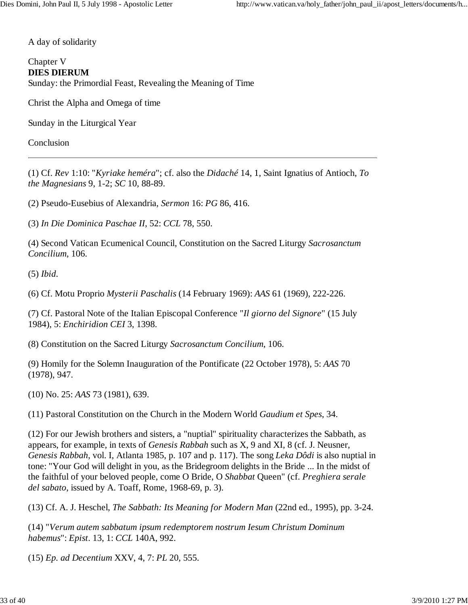A day of solidarity

#### Chapter V **DIES DIERUM** Sunday: the Primordial Feast, Revealing the Meaning of Time

Christ the Alpha and Omega of time

Sunday in the Liturgical Year

Conclusion

(1) Cf. *Rev* 1:10: "*Kyriake heméra*"; cf. also the *Didaché* 14, 1, Saint Ignatius of Antioch, *To the Magnesians* 9, 1-2; *SC* 10, 88-89.

(2) Pseudo-Eusebius of Alexandria, *Sermon* 16: *PG* 86, 416.

(3) *In Die Dominica Paschae II*, 52: *CCL* 78, 550.

(4) Second Vatican Ecumenical Council, Constitution on the Sacred Liturgy *Sacrosanctum Concilium*, 106.

(5) *Ibid*.

(6) Cf. Motu Proprio *Mysterii Paschalis* (14 February 1969): *AAS* 61 (1969), 222-226.

(7) Cf. Pastoral Note of the Italian Episcopal Conference "*Il giorno del Signore*" (15 July 1984), 5: *Enchiridion CEI* 3, 1398.

(8) Constitution on the Sacred Liturgy *Sacrosanctum Concilium*, 106.

(9) Homily for the Solemn Inauguration of the Pontificate (22 October 1978), 5: *AAS* 70 (1978), 947.

(10) No. 25: *AAS* 73 (1981), 639.

(11) Pastoral Constitution on the Church in the Modern World *Gaudium et Spes*, 34.

(12) For our Jewish brothers and sisters, a "nuptial" spirituality characterizes the Sabbath, as appears, for example, in texts of *Genesis Rabbah* such as X, 9 and XI, 8 (cf. J. Neusner, *Genesis Rabbah*, vol. I, Atlanta 1985, p. 107 and p. 117). The song *Leka Dôdi* is also nuptial in tone: "Your God will delight in you, as the Bridegroom delights in the Bride ... In the midst of the faithful of your beloved people, come O Bride, O *Shabbat* Queen" (cf. *Preghiera serale del sabato*, issued by A. Toaff, Rome, 1968-69, p. 3).

(13) Cf. A. J. Heschel, *The Sabbath: Its Meaning for Modern Man* (22nd ed., 1995), pp. 3-24.

(14) "*Verum autem sabbatum ipsum redemptorem nostrum Iesum Christum Dominum habemus*": *Epist*. 13, 1: *CCL* 140A, 992.

(15) *Ep. ad Decentium* XXV, 4, 7: *PL* 20, 555.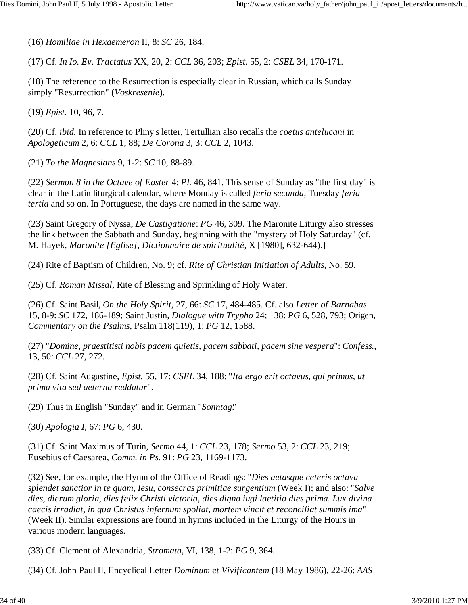(16) *Homiliae in Hexaemeron* II, 8: *SC* 26, 184.

(17) Cf. *In Io. Ev. Tractatus* XX, 20, 2: *CCL* 36, 203; *Epist.* 55, 2: *CSEL* 34, 170-171.

(18) The reference to the Resurrection is especially clear in Russian, which calls Sunday simply "Resurrection" (*Voskresenie*).

(19) *Epist.* 10, 96, 7.

(20) Cf. *ibid.* In reference to Pliny's letter, Tertullian also recalls the *coetus antelucani* in *Apologeticum* 2, 6: *CCL* 1, 88; *De Corona* 3, 3: *CCL* 2, 1043.

(21) *To the Magnesians* 9, 1-2: *SC* 10, 88-89.

(22) *Sermon 8 in the Octave of Easter* 4: *PL* 46, 841. This sense of Sunday as "the first day" is clear in the Latin liturgical calendar, where Monday is called *feria secunda*, Tuesday *feria tertia* and so on. In Portuguese, the days are named in the same way.

(23) Saint Gregory of Nyssa, *De Castigatione*: *PG* 46, 309. The Maronite Liturgy also stresses the link between the Sabbath and Sunday, beginning with the "mystery of Holy Saturday" (cf. M. Hayek, *Maronite [Eglise], Dictionnaire de spiritualité*, X [1980], 632-644).]

(24) Rite of Baptism of Children, No. 9; cf. *Rite of Christian Initiation of Adults*, No. 59.

(25) Cf. *Roman Missal*, Rite of Blessing and Sprinkling of Holy Water.

(26) Cf. Saint Basil, *On the Holy Spirit*, 27, 66: *SC* 17, 484-485. Cf. also *Letter of Barnabas* 15, 8-9: *SC* 172, 186-189; Saint Justin, *Dialogue with Trypho* 24; 138: *PG* 6, 528, 793; Origen, *Commentary on the Psalms*, Psalm 118(119), 1: *PG* 12, 1588.

(27) "*Domine, praestitisti nobis pacem quietis, pacem sabbati, pacem sine vespera*": *Confess.*, 13, 50: *CCL* 27, 272.

(28) Cf. Saint Augustine, *Epist.* 55, 17: *CSEL* 34, 188: "*Ita ergo erit octavus, qui primus, ut prima vita sed aeterna reddatur*".

(29) Thus in English "Sunday" and in German "*Sonntag"*.

(30) *Apologia I*, 67: *PG* 6, 430.

(31) Cf. Saint Maximus of Turin, *Sermo* 44, 1: *CCL* 23, 178; *Sermo* 53, 2: *CCL* 23, 219; Eusebius of Caesarea, *Comm. in Ps.* 91: *PG* 23, 1169-1173.

(32) See, for example, the Hymn of the Office of Readings: "*Dies aetasque ceteris octava splendet sanctior in te quam, Iesu, consecras primitiae surgentium* (Week I); and also: "*Salve dies, dierum gloria, dies felix Christi victoria, dies digna iugi laetitia dies prima. Lux divina caecis irradiat, in qua Christus infernum spoliat, mortem vincit et reconciliat summis ima*" (Week II). Similar expressions are found in hymns included in the Liturgy of the Hours in various modern languages.

(33) Cf. Clement of Alexandria, *Stromata*, VI, 138, 1-2: *PG* 9, 364.

(34) Cf. John Paul II, Encyclical Letter *Dominum et Vivificantem* (18 May 1986), 22-26: *AAS*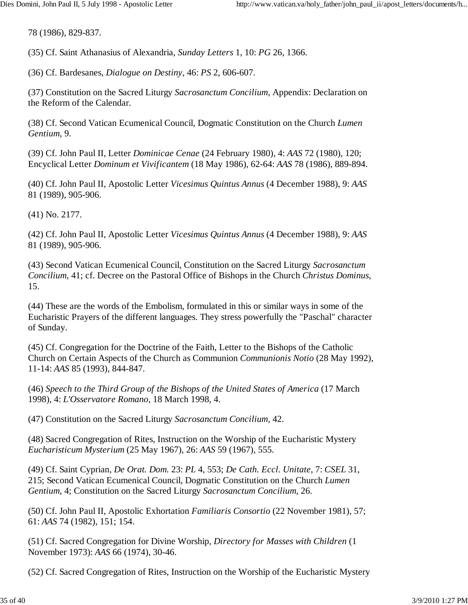78 (1986), 829-837.

(35) Cf. Saint Athanasius of Alexandria, *Sunday Letters* 1, 10: *PG* 26, 1366.

(36) Cf. Bardesanes, *Dialogue on Destiny*, 46: *PS* 2, 606-607.

(37) Constitution on the Sacred Liturgy *Sacrosanctum Concilium*, Appendix: Declaration on the Reform of the Calendar.

(38) Cf. Second Vatican Ecumenical Council, Dogmatic Constitution on the Church *Lumen Gentium*, 9.

(39) Cf. John Paul II, Letter *Dominicae Cenae* (24 February 1980), 4: *AAS* 72 (1980), 120; Encyclical Letter *Dominum et Vivificantem* (18 May 1986), 62-64: *AAS* 78 (1986), 889-894.

(40) Cf. John Paul II, Apostolic Letter *Vicesimus Quintus Annus* (4 December 1988), 9: *AAS* 81 (1989), 905-906.

(41) No. 2177.

(42) Cf. John Paul II, Apostolic Letter *Vicesimus Quintus Annus* (4 December 1988), 9: *AAS* 81 (1989), 905-906.

(43) Second Vatican Ecumenical Council, Constitution on the Sacred Liturgy *Sacrosanctum Concilium*, 41; cf. Decree on the Pastoral Office of Bishops in the Church *Christus Dominus*, 15.

(44) These are the words of the Embolism, formulated in this or similar ways in some of the Eucharistic Prayers of the different languages. They stress powerfully the "Paschal" character of Sunday.

(45) Cf. Congregation for the Doctrine of the Faith, Letter to the Bishops of the Catholic Church on Certain Aspects of the Church as Communion *Communionis Notio* (28 May 1992), 11-14: *AAS* 85 (1993), 844-847.

(46) *Speech to the Third Group of the Bishops of the United States of America* (17 March 1998), 4: *L'Osservatore Romano*, 18 March 1998, 4.

(47) Constitution on the Sacred Liturgy *Sacrosanctum Concilium*, 42.

(48) Sacred Congregation of Rites, Instruction on the Worship of the Eucharistic Mystery *Eucharisticum Mysterium* (25 May 1967), 26: *AAS* 59 (1967), 555.

(49) Cf. Saint Cyprian, *De Orat. Dom.* 23: *PL* 4, 553; *De Cath. Eccl. Unitate*, 7: *CSEL* 31, 215; Second Vatican Ecumenical Council, Dogmatic Constitution on the Church *Lumen Gentium*, 4; Constitution on the Sacred Liturgy *Sacrosanctum Concilium*, 26.

(50) Cf. John Paul II, Apostolic Exhortation *Familiaris Consortio* (22 November 1981), 57; 61: *AAS* 74 (1982), 151; 154.

(51) Cf. Sacred Congregation for Divine Worship, *Directory for Masses with Children* (1 November 1973): *AAS* 66 (1974), 30-46.

(52) Cf. Sacred Congregation of Rites, Instruction on the Worship of the Eucharistic Mystery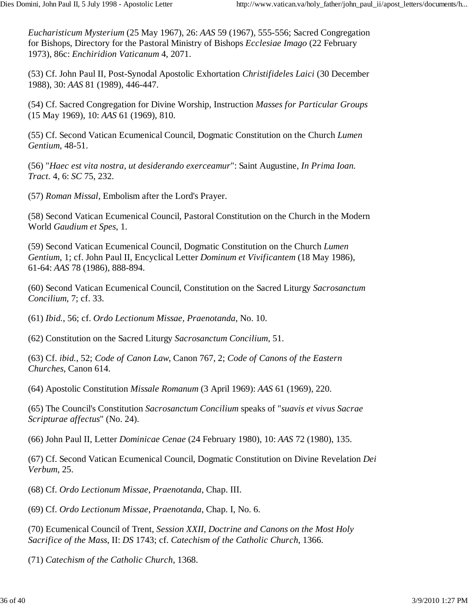*Eucharisticum Mysterium* (25 May 1967), 26: *AAS* 59 (1967), 555-556; Sacred Congregation for Bishops, Directory for the Pastoral Ministry of Bishops *Ecclesiae Imago* (22 February 1973), 86c: *Enchiridion Vaticanum* 4, 2071.

(53) Cf. John Paul II, Post-Synodal Apostolic Exhortation *Christifideles Laici* (30 December 1988), 30: *AAS* 81 (1989), 446-447.

(54) Cf. Sacred Congregation for Divine Worship, Instruction *Masses for Particular Groups* (15 May 1969), 10: *AAS* 61 (1969), 810.

(55) Cf. Second Vatican Ecumenical Council, Dogmatic Constitution on the Church *Lumen Gentium*, 48-51.

(56) "*Haec est vita nostra, ut desiderando exerceamur*": Saint Augustine, *In Prima Ioan. Tract.* 4, 6: *SC* 75, 232.

(57) *Roman Missal*, Embolism after the Lord's Prayer.

(58) Second Vatican Ecumenical Council, Pastoral Constitution on the Church in the Modern World *Gaudium et Spes*, 1.

(59) Second Vatican Ecumenical Council, Dogmatic Constitution on the Church *Lumen Gentium*, 1; cf. John Paul II, Encyclical Letter *Dominum et Vivificantem* (18 May 1986), 61-64: *AAS* 78 (1986), 888-894.

(60) Second Vatican Ecumenical Council, Constitution on the Sacred Liturgy *Sacrosanctum Concilium*, 7; cf. 33.

(61) *Ibid.*, 56; cf. *Ordo Lectionum Missae, Praenotanda,* No. 10.

(62) Constitution on the Sacred Liturgy *Sacrosanctum Concilium*, 51.

(63) Cf. *ibid.*, 52; *Code of Canon Law*, Canon 767, 2; *Code of Canons of the Eastern Churches*, Canon 614.

(64) Apostolic Constitution *Missale Romanum* (3 April 1969): *AAS* 61 (1969), 220.

(65) The Council's Constitution *Sacrosanctum Concilium* speaks of "*suavis et vivus Sacrae Scripturae affectus*" (No. 24).

(66) John Paul II, Letter *Dominicae Cenae* (24 February 1980), 10: *AAS* 72 (1980), 135.

(67) Cf. Second Vatican Ecumenical Council, Dogmatic Constitution on Divine Revelation *Dei Verbum*, 25.

(68) Cf. *Ordo Lectionum Missae*, *Praenotanda*, Chap. III.

(69) Cf. *Ordo Lectionum Missae*, *Praenotanda*, Chap. I, No. 6.

(70) Ecumenical Council of Trent, *Session XXII, Doctrine and Canons on the Most Holy Sacrifice of the Mass*, II: *DS* 1743; cf. *Catechism of the Catholic Church*, 1366.

(71) *Catechism of the Catholic Church*, 1368.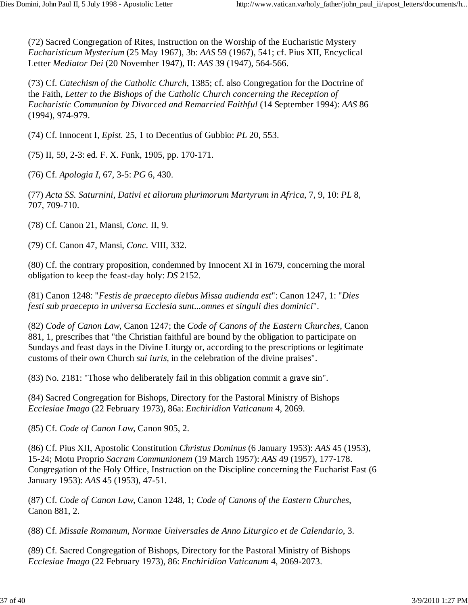(72) Sacred Congregation of Rites, Instruction on the Worship of the Eucharistic Mystery *Eucharisticum Mysterium* (25 May 1967), 3b: *AAS* 59 (1967), 541; cf. Pius XII, Encyclical Letter *Mediator Dei* (20 November 1947), II: *AAS* 39 (1947), 564-566.

(73) Cf. *Catechism of the Catholic Church*, 1385; cf. also Congregation for the Doctrine of the Faith, *Letter to the Bishops of the Catholic Church concerning the Reception of Eucharistic Communion by Divorced and Remarried Faithful* (14 September 1994): *AAS* 86 (1994), 974-979.

(74) Cf. Innocent I, *Epist.* 25, 1 to Decentius of Gubbio: *PL* 20, 553.

(75) II, 59, 2-3: ed. F. X. Funk, 1905, pp. 170-171.

(76) Cf. *Apologia I*, 67, 3-5: *PG* 6, 430.

(77) *Acta SS. Saturnini, Dativi et aliorum plurimorum Martyrum in Africa*, 7, 9, 10: *PL* 8, 707, 709-710.

(78) Cf. Canon 21, Mansi, *Conc.* II, 9.

(79) Cf. Canon 47, Mansi, *Conc.* VIII, 332.

(80) Cf. the contrary proposition, condemned by Innocent XI in 1679, concerning the moral obligation to keep the feast-day holy: *DS* 2152.

(81) Canon 1248: "*Festis de praecepto diebus Missa audienda est*": Canon 1247, 1: "*Dies festi sub praecepto in universa Ecclesia sunt...omnes et singuli dies dominici*".

(82) *Code of Canon Law*, Canon 1247; the *Code of Canons of the Eastern Churches*, Canon 881, 1, prescribes that "the Christian faithful are bound by the obligation to participate on Sundays and feast days in the Divine Liturgy or, according to the prescriptions or legitimate customs of their own Church *sui iuris,* in the celebration of the divine praises".

(83) No. 2181: "Those who deliberately fail in this obligation commit a grave sin".

(84) Sacred Congregation for Bishops, Directory for the Pastoral Ministry of Bishops *Ecclesiae Imago* (22 February 1973), 86a: *Enchiridion Vaticanum* 4, 2069.

(85) Cf. *Code of Canon Law*, Canon 905, 2.

(86) Cf. Pius XII, Apostolic Constitution *Christus Dominus* (6 January 1953): *AAS* 45 (1953), 15-24; Motu Proprio *Sacram Communionem* (19 March 1957): *AAS* 49 (1957), 177-178. Congregation of the Holy Office, Instruction on the Discipline concerning the Eucharist Fast (6 January 1953): *AAS* 45 (1953), 47-51.

(87) Cf. *Code of Canon Law*, Canon 1248, 1; *Code of Canons of the Eastern Churches*, Canon 881, 2.

(88) Cf. *Missale Romanum, Normae Universales de Anno Liturgico et de Calendario*, 3.

(89) Cf. Sacred Congregation of Bishops, Directory for the Pastoral Ministry of Bishops *Ecclesiae Imago* (22 February 1973), 86: *Enchiridion Vaticanum* 4, 2069-2073.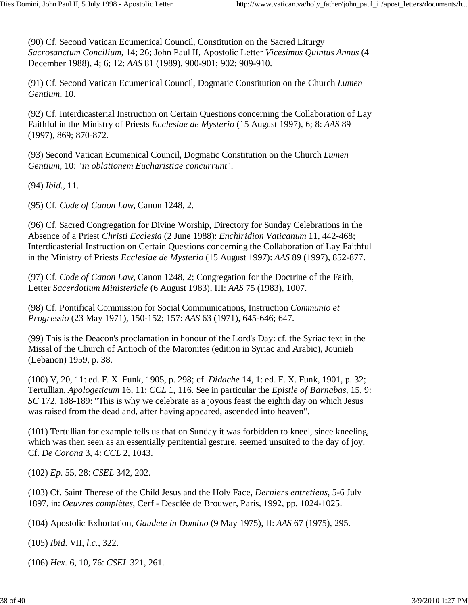(90) Cf. Second Vatican Ecumenical Council, Constitution on the Sacred Liturgy *Sacrosanctum Concilium*, 14; 26; John Paul II, Apostolic Letter *Vicesimus Quintus Annus* (4 December 1988), 4; 6; 12: *AAS* 81 (1989), 900-901; 902; 909-910.

(91) Cf. Second Vatican Ecumenical Council, Dogmatic Constitution on the Church *Lumen Gentium*, 10.

(92) Cf. Interdicasterial Instruction on Certain Questions concerning the Collaboration of Lay Faithful in the Ministry of Priests *Ecclesiae de Mysterio* (15 August 1997), 6; 8: *AAS* 89 (1997), 869; 870-872.

(93) Second Vatican Ecumenical Council, Dogmatic Constitution on the Church *Lumen Gentium*, 10: "*in oblationem Eucharistiae concurrunt*".

(94) *Ibid.*, 11.

(95) Cf. *Code of Canon Law*, Canon 1248, 2.

(96) Cf. Sacred Congregation for Divine Worship, Directory for Sunday Celebrations in the Absence of a Priest *Christi Ecclesia* (2 June 1988): *Enchiridion Vaticanum* 11, 442-468; Interdicasterial Instruction on Certain Questions concerning the Collaboration of Lay Faithful in the Ministry of Priests *Ecclesiae de Mysterio* (15 August 1997): *AAS* 89 (1997), 852-877.

(97) Cf. *Code of Canon Law*, Canon 1248, 2; Congregation for the Doctrine of the Faith, Letter *Sacerdotium Ministeriale* (6 August 1983), III: *AAS* 75 (1983), 1007.

(98) Cf. Pontifical Commission for Social Communications, Instruction *Communio et Progressio* (23 May 1971), 150-152; 157: *AAS* 63 (1971), 645-646; 647.

(99) This is the Deacon's proclamation in honour of the Lord's Day: cf. the Syriac text in the Missal of the Church of Antioch of the Maronites (edition in Syriac and Arabic), Jounieh (Lebanon) 1959, p. 38.

(100) V, 20, 11: ed. F. X. Funk, 1905, p. 298; cf. *Didache* 14, 1: ed. F. X. Funk, 1901, p. 32; Tertullian, *Apologeticum* 16, 11: *CCL* 1, 116. See in particular the *Epistle of Barnabas*, 15, 9: *SC* 172, 188-189: "This is why we celebrate as a joyous feast the eighth day on which Jesus was raised from the dead and, after having appeared, ascended into heaven".

(101) Tertullian for example tells us that on Sunday it was forbidden to kneel, since kneeling, which was then seen as an essentially penitential gesture, seemed unsuited to the day of joy. Cf. *De Corona* 3, 4: *CCL* 2, 1043.

(102) *Ep*. 55, 28: *CSEL* 342, 202.

(103) Cf. Saint Therese of the Child Jesus and the Holy Face, *Derniers entretiens*, 5-6 July 1897, in: *Oeuvres complètes*, Cerf - Desclée de Brouwer, Paris, 1992, pp. 1024-1025.

(104) Apostolic Exhortation, *Gaudete in Domino* (9 May 1975), II: *AAS* 67 (1975), 295.

(105) *Ibid*. VII, *l.c.*, 322.

(106) *Hex.* 6, 10, 76: *CSEL* 321, 261.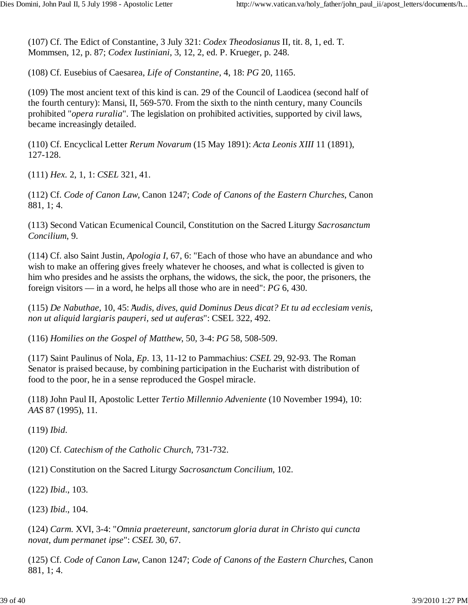(107) Cf. The Edict of Constantine, 3 July 321: *Codex Theodosianus* II, tit. 8, 1, ed. T. Mommsen, 12, p. 87; *Codex Iustiniani*, 3, 12, 2, ed. P. Krueger, p. 248.

(108) Cf. Eusebius of Caesarea, *Life of Constantine*, 4, 18: *PG* 20, 1165.

(109) The most ancient text of this kind is can. 29 of the Council of Laodicea (second half of the fourth century): Mansi, II, 569-570. From the sixth to the ninth century, many Councils prohibited "*opera ruralia*". The legislation on prohibited activities, supported by civil laws, became increasingly detailed.

(110) Cf. Encyclical Letter *Rerum Novarum* (15 May 1891): *Acta Leonis XIII* 11 (1891), 127-128.

(111) *Hex.* 2, 1, 1: *CSEL* 321, 41.

(112) Cf. *Code of Canon Law*, Canon 1247; *Code of Canons of the Eastern Churches*, Canon 881, 1; 4.

(113) Second Vatican Ecumenical Council, Constitution on the Sacred Liturgy *Sacrosanctum Concilium*, 9.

(114) Cf. also Saint Justin, *Apologia I*, 67, 6: "Each of those who have an abundance and who wish to make an offering gives freely whatever he chooses, and what is collected is given to him who presides and he assists the orphans, the widows, the sick, the poor, the prisoners, the foreign visitors — in a word, he helps all those who are in need": *PG* 6, 430.

(115) *De Nabuthae*, 10, 45: *"Audis, dives, quid Dominus Deus dicat? Et tu ad ecclesiam venis, non ut aliquid largiaris pauperi, sed ut auferas*": CSEL 322, 492.

(116) *Homilies on the Gospel of Matthew*, 50, 3-4: *PG* 58, 508-509.

(117) Saint Paulinus of Nola, *Ep*. 13, 11-12 to Pammachius: *CSEL* 29, 92-93. The Roman Senator is praised because, by combining participation in the Eucharist with distribution of food to the poor, he in a sense reproduced the Gospel miracle.

(118) John Paul II, Apostolic Letter *Tertio Millennio Adveniente* (10 November 1994), 10: *AAS* 87 (1995), 11.

(119) *Ibid*.

(120) Cf. *Catechism of the Catholic Church*, 731-732.

(121) Constitution on the Sacred Liturgy *Sacrosanctum Concilium*, 102.

(122) *Ibid*., 103.

(123) *Ibid*., 104.

(124) *Carm.* XVI, 3-4: "*Omnia praetereunt, sanctorum gloria durat in Christo qui cuncta novat, dum permanet ipse*": *CSEL* 30, 67.

(125) Cf. *Code of Canon Law*, Canon 1247; *Code of Canons of the Eastern Churches*, Canon 881, 1; 4.